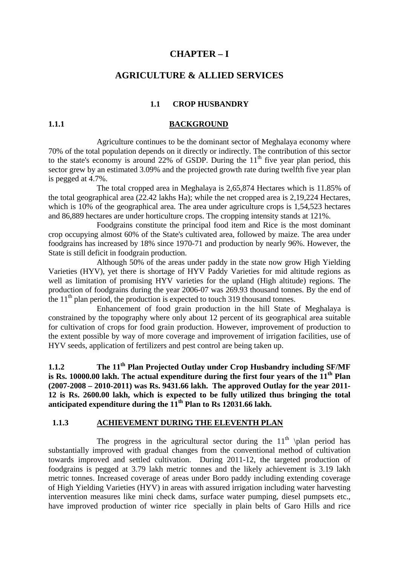## **CHAPTER – I**

## **AGRICULTURE & ALLIED SERVICES**

## **1.1 CROP HUSBANDRY**

#### **1.1.1 BACKGROUND**

 Agriculture continues to be the dominant sector of Meghalaya economy where 70% of the total population depends on it directly or indirectly. The contribution of this sector to the state's economy is around 22% of GSDP. During the  $11<sup>th</sup>$  five year plan period, this sector grew by an estimated 3.09% and the projected growth rate during twelfth five year plan is pegged at 4.7%.

The total cropped area in Meghalaya is 2,65,874 Hectares which is 11.85% of the total geographical area (22.42 lakhs Ha); while the net cropped area is 2,19,224 Hectares, which is 10% of the geographical area. The area under agriculture crops is 1,54,523 hectares and 86,889 hectares are under horticulture crops. The cropping intensity stands at 121%.

Foodgrains constitute the principal food item and Rice is the most dominant crop occupying almost 60% of the State's cultivated area, followed by maize. The area under foodgrains has increased by 18% since 1970-71 and production by nearly 96%. However, the State is still deficit in foodgrain production.

Although 50% of the areas under paddy in the state now grow High Yielding Varieties (HYV), yet there is shortage of HYV Paddy Varieties for mid altitude regions as well as limitation of promising HYV varieties for the upland (High altitude) regions. The production of foodgrains during the year 2006-07 was 269.93 thousand tonnes. By the end of the  $11<sup>th</sup>$  plan period, the production is expected to touch 319 thousand tonnes.

Enhancement of food grain production in the hill State of Meghalaya is constrained by the topography where only about 12 percent of its geographical area suitable for cultivation of crops for food grain production. However, improvement of production to the extent possible by way of more coverage and improvement of irrigation facilities, use of HYV seeds, application of fertilizers and pest control are being taken up.

**1.1.2 The 11<sup>th</sup> Plan Projected Outlay under Crop Husbandry including SF/MF** is Rs. 10000.00 lakh. The actual expenditure during the first four years of the 11<sup>th</sup> Plan **(2007-2008 – 2010-2011) was Rs. 9431.66 lakh. The approved Outlay for the year 2011- 12 is Rs. 2600.00 lakh, which is expected to be fully utilized thus bringing the total**  anticipated expenditure during the 11<sup>th</sup> Plan to Rs 12031.66 lakh.

## **1.1.3 ACHIEVEMENT DURING THE ELEVENTH PLAN**

The progress in the agricultural sector during the  $11<sup>th</sup>$  \plan period has substantially improved with gradual changes from the conventional method of cultivation towards improved and settled cultivation. During 2011-12, the targeted production of foodgrains is pegged at 3.79 lakh metric tonnes and the likely achievement is 3.19 lakh metric tonnes. Increased coverage of areas under Boro paddy including extending coverage of High Yielding Varieties (HYV) in areas with assured irrigation including water harvesting intervention measures like mini check dams, surface water pumping, diesel pumpsets etc., have improved production of winter rice specially in plain belts of Garo Hills and rice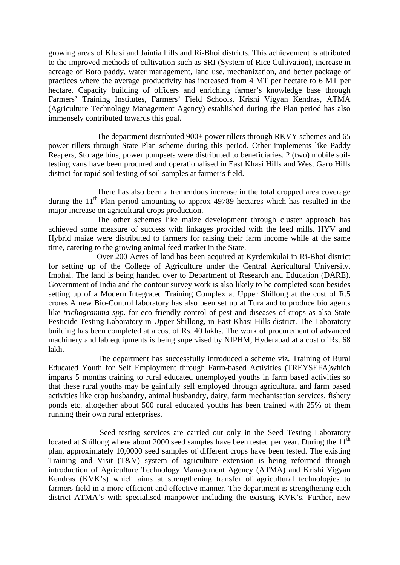growing areas of Khasi and Jaintia hills and Ri-Bhoi districts. This achievement is attributed to the improved methods of cultivation such as SRI (System of Rice Cultivation), increase in acreage of Boro paddy, water management, land use, mechanization, and better package of practices where the average productivity has increased from 4 MT per hectare to 6 MT per hectare. Capacity building of officers and enriching farmer's knowledge base through Farmers' Training Institutes, Farmers' Field Schools, Krishi Vigyan Kendras, ATMA (Agriculture Technology Management Agency) established during the Plan period has also immensely contributed towards this goal.

The department distributed 900+ power tillers through RKVY schemes and 65 power tillers through State Plan scheme during this period. Other implements like Paddy Reapers, Storage bins, power pumpsets were distributed to beneficiaries. 2 (two) mobile soiltesting vans have been procured and operationalised in East Khasi Hills and West Garo Hills district for rapid soil testing of soil samples at farmer's field.

 There has also been a tremendous increase in the total cropped area coverage during the  $11<sup>th</sup>$  Plan period amounting to approx 49789 hectares which has resulted in the major increase on agricultural crops production.

 The other schemes like maize development through cluster approach has achieved some measure of success with linkages provided with the feed mills. HYV and Hybrid maize were distributed to farmers for raising their farm income while at the same time, catering to the growing animal feed market in the State.

 Over 200 Acres of land has been acquired at Kyrdemkulai in Ri-Bhoi district for setting up of the College of Agriculture under the Central Agricultural University, Imphal. The land is being handed over to Department of Research and Education (DARE), Government of India and the contour survey work is also likely to be completed soon besides setting up of a Modern Integrated Training Complex at Upper Shillong at the cost of R.5 crores.A new Bio-Control laboratory has also been set up at Tura and to produce bio agents like *trichogramma spp*. for eco friendly control of pest and diseases of crops as also State Pesticide Testing Laboratory in Upper Shillong, in East Khasi Hills district. The Laboratory building has been completed at a cost of Rs. 40 lakhs. The work of procurement of advanced machinery and lab equipments is being supervised by NIPHM, Hyderabad at a cost of Rs. 68 lakh.

The department has successfully introduced a scheme viz. Training of Rural Educated Youth for Self Employment through Farm-based Activities (TREYSEFA)which imparts 5 months training to rural educated unemployed youths in farm based activities so that these rural youths may be gainfully self employed through agricultural and farm based activities like crop husbandry, animal husbandry, dairy, farm mechanisation services, fishery ponds etc. altogether about 500 rural educated youths has been trained with 25% of them running their own rural enterprises.

 Seed testing services are carried out only in the Seed Testing Laboratory located at Shillong where about 2000 seed samples have been tested per year. During the 11<sup>th</sup> plan, approximately 10,0000 seed samples of different crops have been tested. The existing Training and Visit (T&V) system of agriculture extension is being reformed through introduction of Agriculture Technology Management Agency (ATMA) and Krishi Vigyan Kendras (KVK's) which aims at strengthening transfer of agricultural technologies to farmers field in a more efficient and effective manner. The department is strengthening each district ATMA's with specialised manpower including the existing KVK's. Further, new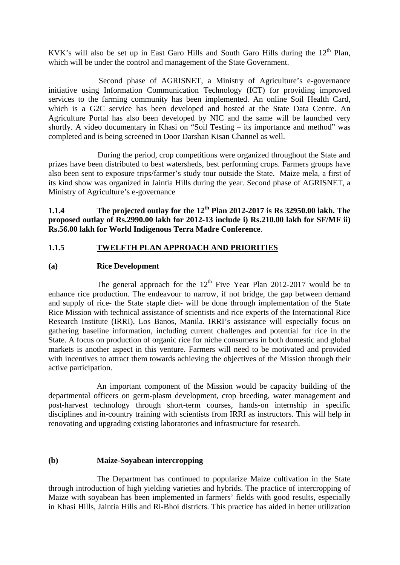KVK's will also be set up in East Garo Hills and South Garo Hills during the  $12<sup>th</sup>$  Plan. which will be under the control and management of the State Government.

 Second phase of AGRISNET, a Ministry of Agriculture's e-governance initiative using Information Communication Technology (ICT) for providing improved services to the farming community has been implemented. An online Soil Health Card, which is a G2C service has been developed and hosted at the State Data Centre. An Agriculture Portal has also been developed by NIC and the same will be launched very shortly. A video documentary in Khasi on "Soil Testing – its importance and method" was completed and is being screened in Door Darshan Kisan Channel as well.

During the period, crop competitions were organized throughout the State and prizes have been distributed to best watersheds, best performing crops. Farmers groups have also been sent to exposure trips/farmer's study tour outside the State. Maize mela, a first of its kind show was organized in Jaintia Hills during the year. Second phase of AGRISNET, a Ministry of Agriculture's e-governance

**1.1.4 The projected outlay for the 12<sup>th</sup> Plan 2012-2017 is Rs 32950.00 lakh. The proposed outlay of Rs.2990.00 lakh for 2012-13 include i) Rs.210.00 lakh for SF/MF ii) Rs.56.00 lakh for World Indigenous Terra Madre Conference**.

## **1.1.5 TWELFTH PLAN APPROACH AND PRIORITIES**

## **(a) Rice Development**

The general approach for the  $12<sup>th</sup>$  Five Year Plan 2012-2017 would be to enhance rice production. The endeavour to narrow, if not bridge, the gap between demand and supply of rice- the State staple diet- will be done through implementation of the State Rice Mission with technical assistance of scientists and rice experts of the International Rice Research Institute (IRRI), Los Banos, Manila. IRRI's assistance will especially focus on gathering baseline information, including current challenges and potential for rice in the State. A focus on production of organic rice for niche consumers in both domestic and global markets is another aspect in this venture. Farmers will need to be motivated and provided with incentives to attract them towards achieving the objectives of the Mission through their active participation.

An important component of the Mission would be capacity building of the departmental officers on germ-plasm development, crop breeding, water management and post-harvest technology through short-term courses, hands-on internship in specific disciplines and in-country training with scientists from IRRI as instructors. This will help in renovating and upgrading existing laboratories and infrastructure for research.

## **(b) Maize-Soyabean intercropping**

The Department has continued to popularize Maize cultivation in the State through introduction of high yielding varieties and hybrids. The practice of intercropping of Maize with soyabean has been implemented in farmers' fields with good results, especially in Khasi Hills, Jaintia Hills and Ri-Bhoi districts. This practice has aided in better utilization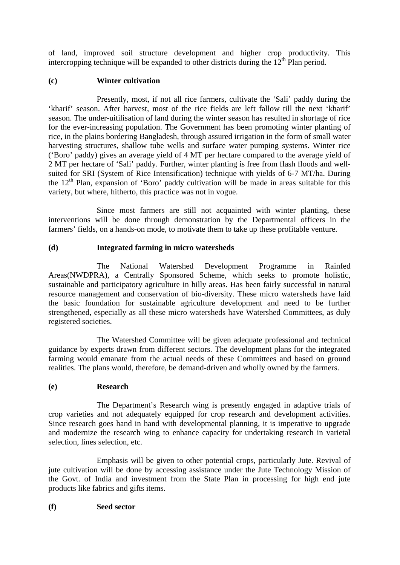of land, improved soil structure development and higher crop productivity. This intercropping technique will be expanded to other districts during the  $12<sup>th</sup>$  Plan period.

## **(c) Winter cultivation**

Presently, most, if not all rice farmers, cultivate the 'Sali' paddy during the 'kharif' season. After harvest, most of the rice fields are left fallow till the next 'kharif' season. The under-uitilisation of land during the winter season has resulted in shortage of rice for the ever-increasing population. The Government has been promoting winter planting of rice, in the plains bordering Bangladesh, through assured irrigation in the form of small water harvesting structures, shallow tube wells and surface water pumping systems. Winter rice ('Boro' paddy) gives an average yield of 4 MT per hectare compared to the average yield of 2 MT per hectare of 'Sali' paddy. Further, winter planting is free from flash floods and wellsuited for SRI (System of Rice Intensification) technique with yields of 6-7 MT/ha. During the  $12<sup>th</sup>$  Plan, expansion of 'Boro' paddy cultivation will be made in areas suitable for this variety, but where, hitherto, this practice was not in vogue.

 Since most farmers are still not acquainted with winter planting, these interventions will be done through demonstration by the Departmental officers in the farmers' fields, on a hands-on mode, to motivate them to take up these profitable venture.

## **(d) Integrated farming in micro watersheds**

The National Watershed Development Programme in Rainfed Areas(NWDPRA), a Centrally Sponsored Scheme, which seeks to promote holistic, sustainable and participatory agriculture in hilly areas. Has been fairly successful in natural resource management and conservation of bio-diversity. These micro watersheds have laid the basic foundation for sustainable agriculture development and need to be further strengthened, especially as all these micro watersheds have Watershed Committees, as duly registered societies.

 The Watershed Committee will be given adequate professional and technical guidance by experts drawn from different sectors. The development plans for the integrated farming would emanate from the actual needs of these Committees and based on ground realities. The plans would, therefore, be demand-driven and wholly owned by the farmers.

## **(e) Research**

 The Department's Research wing is presently engaged in adaptive trials of crop varieties and not adequately equipped for crop research and development activities. Since research goes hand in hand with developmental planning, it is imperative to upgrade and modernize the research wing to enhance capacity for undertaking research in varietal selection, lines selection, etc.

 Emphasis will be given to other potential crops, particularly Jute. Revival of jute cultivation will be done by accessing assistance under the Jute Technology Mission of the Govt. of India and investment from the State Plan in processing for high end jute products like fabrics and gifts items.

## **(f) Seed sector**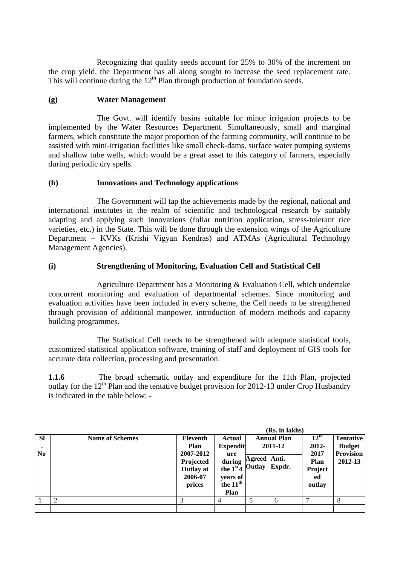Recognizing that quality seeds account for 25% to 30% of the increment on the crop yield, the Department has all along sought to increase the seed replacement rate. This will continue during the  $12<sup>th</sup>$  Plan through production of foundation seeds.

## **(g) Water Management**

The Govt. will identify basins suitable for minor irrigation projects to be implemented by the Water Resources Department. Simultaneously, small and marginal farmers, which constitute the major proportion of the farming community, will continue to be assisted with mini-irrigation facilities like small check-dams, surface water pumping systems and shallow tube wells, which would be a great asset to this category of farmers, especially during periodic dry spells.

## **(h) Innovations and Technology applications**

The Government will tap the achievements made by the regional, national and international institutes in the realm of scientific and technological research by suitably adapting and applying such innovations (foliar nutrition application, stress-tolerant rice varieties, etc.) in the State. This will be done through the extension wings of the Agriculture Department – KVKs (Krishi Vigyan Kendras) and ATMAs (Agricultural Technology Management Agencies).

## **(i) Strengthening of Monitoring, Evaluation Cell and Statistical Cell**

Agriculture Department has a Monitoring & Evaluation Cell, which undertake concurrent monitoring and evaluation of departmental schemes. Since monitoring and evaluation activities have been included in every scheme, the Cell needs to be strengthened through provision of additional manpower, introduction of modern methods and capacity building programmes.

 The Statistical Cell needs to be strengthened with adequate statistical tools, customized statistical application software, training of staff and deployment of GIS tools for accurate data collection, processing and presentation.

**1.1.6** The broad schematic outlay and expenditure for the 11th Plan, projected outlay for the  $12<sup>th</sup>$  Plan and the tentative budget provision for 2012-13 under Crop Husbandry is indicated in the table below: -

|                                          |                        |                                                                                            |                                                                                                             |                  | (Rs. in lakhs)                                   |                                                                      |                                                                  |
|------------------------------------------|------------------------|--------------------------------------------------------------------------------------------|-------------------------------------------------------------------------------------------------------------|------------------|--------------------------------------------------|----------------------------------------------------------------------|------------------------------------------------------------------|
| <b>SI</b><br>$\bullet$<br>N <sub>0</sub> | <b>Name of Schemes</b> | <b>Eleventh</b><br>Plan<br>2007-2012<br>Projected<br><b>Outlay at</b><br>2006-07<br>prices | <b>Actual</b><br><b>Expendit</b><br>ure<br>during<br>the $1st4$<br>years of<br>the 11 <sup>th</sup><br>Plan | Agreed<br>Outlay | <b>Annual Plan</b><br>2011-12<br>Anti.<br>Expdr. | $12^{\text{th}}$<br>2012-<br>2017<br>Plan<br>Project<br>ed<br>outlay | <b>Tentative</b><br><b>Budget</b><br><b>Provision</b><br>2012-13 |
|                                          | 2                      | 3                                                                                          | 4                                                                                                           |                  | 6                                                | ┑                                                                    | 8                                                                |
|                                          |                        |                                                                                            |                                                                                                             |                  |                                                  |                                                                      |                                                                  |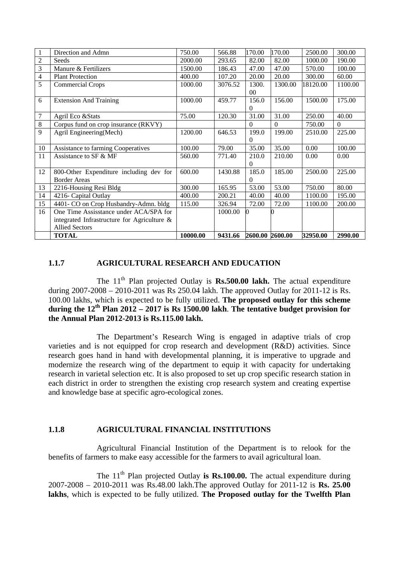| $\mathbf{1}$   | Direction and Admn                             | 750.00   | 566.88  | 170.00          | 170.00   | 2500.00  | 300.00   |
|----------------|------------------------------------------------|----------|---------|-----------------|----------|----------|----------|
| $\overline{c}$ | Seeds                                          | 2000.00  | 293.65  | 82.00           | 82.00    | 1000.00  | 190.00   |
| 3              | Manure & Fertilizers                           | 1500.00  | 186.43  | 47.00           | 47.00    | 570.00   | 100.00   |
| $\overline{4}$ | <b>Plant Protection</b>                        | 400.00   | 107.20  | 20.00           | 20.00    | 300.00   | 60.00    |
| 5              | Commercial Crops                               | 1000.00  | 3076.52 | 1300.           | 1300.00  | 18120.00 | 1100.00  |
|                |                                                |          |         | $00\,$          |          |          |          |
| 6              | <b>Extension And Training</b>                  | 1000.00  | 459.77  | 156.0           | 156.00   | 1500.00  | 175.00   |
|                |                                                |          |         | $\theta$        |          |          |          |
| 7              | Agril Eco & Stats                              | 75.00    | 120.30  | 31.00           | 31.00    | 250.00   | 40.00    |
| $8\,$          | Corpus fund on crop insurance (RKVY)           |          |         | $\Omega$        | $\Omega$ | 750.00   | $\Omega$ |
| 9              | Agril Engineering(Mech)                        | 1200.00  | 646.53  | 199.0           | 199.00   | 2510.00  | 225.00   |
|                |                                                |          |         | $\Omega$        |          |          |          |
| 10             | Assistance to farming Cooperatives             | 100.00   | 79.00   | 35.00           | 35.00    | 0.00     | 100.00   |
| 11             | Assistance to SF & MF                          | 560.00   | 771.40  | 210.0           | 210.00   | 0.00     | 0.00     |
|                |                                                |          |         | $\Omega$        |          |          |          |
| 12             | 800-Other Expenditure including dev for        | 600.00   | 1430.88 | 185.0           | 185.00   | 2500.00  | 225.00   |
|                | <b>Border Areas</b>                            |          |         | 0               |          |          |          |
| 13             | 2216-Housing Resi Bldg                         | 300.00   | 165.95  | 53.00           | 53.00    | 750.00   | 80.00    |
| 14             | 4216- Capital Outlay                           | 400.00   | 200.21  | 40.00           | 40.00    | 1100.00  | 195.00   |
| 15             | 4401- CO on Crop Husbandry-Admn. bldg          | 115.00   | 326.94  | 72.00           | 72.00    | 1100.00  | 200.00   |
| 16             | One Time Assisstance under ACA/SPA for         |          | 1000.00 |                 |          |          |          |
|                | integrated Infrastructure for Agriculture $\&$ |          |         |                 |          |          |          |
|                | <b>Allied Sectors</b>                          |          |         |                 |          |          |          |
|                | <b>TOTAL</b>                                   | 10000.00 | 9431.66 | 2600.00 2600.00 |          | 32950.00 | 2990.00  |

#### **1.1.7 AGRICULTURAL RESEARCH AND EDUCATION**

The  $11<sup>th</sup>$  Plan projected Outlay is **Rs.500.00 lakh.** The actual expenditure during 2007-2008 – 2010-2011 was Rs 250.04 lakh. The approved Outlay for 2011-12 is Rs. 100.00 lakhs, which is expected to be fully utilized. **The proposed outlay for this scheme during the 12th Plan 2012 – 2017 is Rs 1500.00 lakh**. **The tentative budget provision for the Annual Plan 2012-2013 is Rs.115.00 lakh.** 

The Department's Research Wing is engaged in adaptive trials of crop varieties and is not equipped for crop research and development (R&D) activities. Since research goes hand in hand with developmental planning, it is imperative to upgrade and modernize the research wing of the department to equip it with capacity for undertaking research in varietal selection etc. It is also proposed to set up crop specific research station in each district in order to strengthen the existing crop research system and creating expertise and knowledge base at specific agro-ecological zones.

#### **1.1.8 AGRICULTURAL FINANCIAL INSTITUTIONS**

Agricultural Financial Institution of the Department is to relook for the benefits of farmers to make easy accessible for the farmers to avail agricultural loan.

The  $11<sup>th</sup>$  Plan projected Outlay **is Rs.100.00.** The actual expenditure during 2007-2008 – 2010-2011 was Rs.48.00 lakh.The approved Outlay for 2011-12 is **Rs. 25.00 lakhs**, which is expected to be fully utilized. **The Proposed outlay for the Twelfth Plan**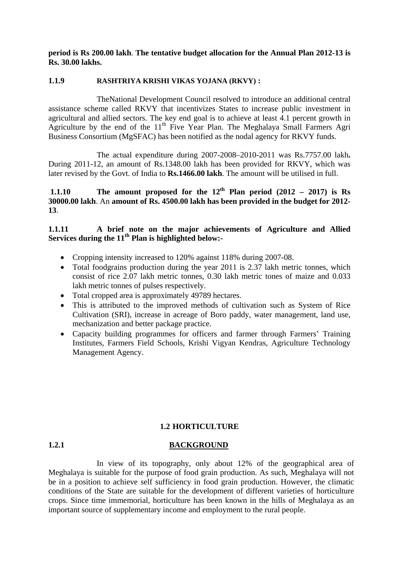**period is Rs 200.00 lakh**. **The tentative budget allocation for the Annual Plan 2012-13 is Rs. 30.00 lakhs.** 

## **1.1.9 RASHTRIYA KRISHI VIKAS YOJANA (RKVY) :**

 TheNational Development Council resolved to introduce an additional central assistance scheme called RKVY that incentivizes States to increase public investment in agricultural and allied sectors. The key end goal is to achieve at least 4.1 percent growth in Agriculture by the end of the  $11<sup>th</sup>$  Five Year Plan. The Meghalaya Small Farmers Agri Business Consortium (MgSFAC) has been notified as the nodal agency for RKVY funds.

The actual expenditure during 2007-2008–2010-2011 was Rs.7757.00 lakh**.**  During 2011-12, an amount of Rs.1348.00 lakh has been provided for RKVY, which was later revised by the Govt. of India to **Rs.1466.00 lakh**. The amount will be utilised in full.

**1.1.10** The amount proposed for the  $12<sup>th</sup>$  Plan period (2012 – 2017) is Rs **30000.00 lakh**. An **amount of Rs. 4500.00 lakh has been provided in the budget for 2012- 13**.

## **1.1.11 A brief note on the major achievements of Agriculture and Allied Services during the 11th Plan is highlighted below:-**

- Cropping intensity increased to 120% against 118% during 2007-08.
- Total foodgrains production during the year 2011 is 2.37 lakh metric tonnes, which consist of rice 2.07 lakh metric tonnes, 0.30 lakh metric tones of maize and 0.033 lakh metric tonnes of pulses respectively.
- Total cropped area is approximately 49789 hectares.
- This is attributed to the improved methods of cultivation such as System of Rice Cultivation (SRI), increase in acreage of Boro paddy, water management, land use, mechanization and better package practice.
- Capacity building programmes for officers and farmer through Farmers' Training Institutes, Farmers Field Schools, Krishi Vigyan Kendras, Agriculture Technology Management Agency.

#### **1.2 HORTICULTURE**

#### **1.2.1 BACKGROUND**

In view of its topography, only about 12% of the geographical area of Meghalaya is suitable for the purpose of food grain production. As such, Meghalaya will not be in a position to achieve self sufficiency in food grain production. However, the climatic conditions of the State are suitable for the development of different varieties of horticulture crops. Since time immemorial, horticulture has been known in the hills of Meghalaya as an important source of supplementary income and employment to the rural people.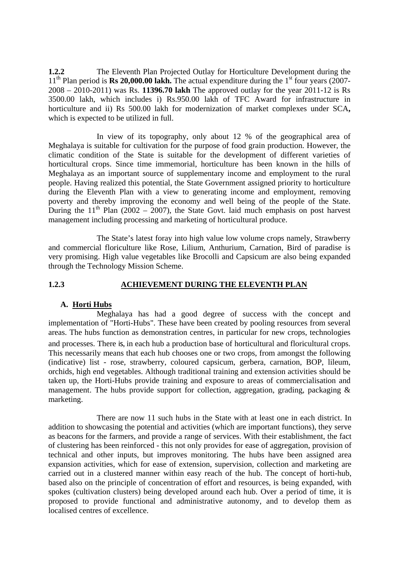**1.2.2** The Eleventh Plan Projected Outlay for Horticulture Development during the  $11<sup>th</sup>$  Plan period is **Rs 20,000.00 lakh.** The actual expenditure during the  $1<sup>st</sup>$  four years (2007-2008 – 2010-2011) was Rs. **11396.70 lakh** The approved outlay for the year 2011-12 is Rs 3500.00 lakh, which includes i) Rs.950.00 lakh of TFC Award for infrastructure in horticulture and ii) Rs 500.00 lakh for modernization of market complexes under SCA**,**  which is expected to be utilized in full.

 In view of its topography, only about 12 % of the geographical area of Meghalaya is suitable for cultivation for the purpose of food grain production. However, the climatic condition of the State is suitable for the development of different varieties of horticultural crops. Since time immemorial, horticulture has been known in the hills of Meghalaya as an important source of supplementary income and employment to the rural people. Having realized this potential, the State Government assigned priority to horticulture during the Eleventh Plan with a view to generating income and employment, removing poverty and thereby improving the economy and well being of the people of the State. During the  $11<sup>th</sup>$  Plan (2002 – 2007), the State Govt. laid much emphasis on post harvest management including processing and marketing of horticultural produce.

 The State's latest foray into high value low volume crops namely, Strawberry and commercial floriculture like Rose, Lilium, Anthurium, Carnation, Bird of paradise is very promising. High value vegetables like Brocolli and Capsicum are also being expanded through the Technology Mission Scheme.

## **1.2.3 ACHIEVEMENT DURING THE ELEVENTH PLAN**

## **A. Horti Hubs**

Meghalaya has had a good degree of success with the concept and implementation of "Horti-Hubs". These have been created by pooling resources from several areas. The hubs function as demonstration centres, in particular for new crops, technologies and processes. There is, in each hub a production base of horticultural and floricultural crops. This necessarily means that each hub chooses one or two crops, from amongst the following (indicative) list - rose, strawberry, coloured capsicum, gerbera, carnation, BOP, lileum, orchids, high end vegetables. Although traditional training and extension activities should be taken up, the Horti-Hubs provide training and exposure to areas of commercialisation and management. The hubs provide support for collection, aggregation, grading, packaging & marketing.

 There are now 11 such hubs in the State with at least one in each district. In addition to showcasing the potential and activities (which are important functions), they serve as beacons for the farmers, and provide a range of services. With their establishment, the fact of clustering has been reinforced - this not only provides for ease of aggregation, provision of technical and other inputs, but improves monitoring. The hubs have been assigned area expansion activities, which for ease of extension, supervision, collection and marketing are carried out in a clustered manner within easy reach of the hub. The concept of horti-hub, based also on the principle of concentration of effort and resources, is being expanded, with spokes (cultivation clusters) being developed around each hub. Over a period of time, it is proposed to provide functional and administrative autonomy, and to develop them as localised centres of excellence.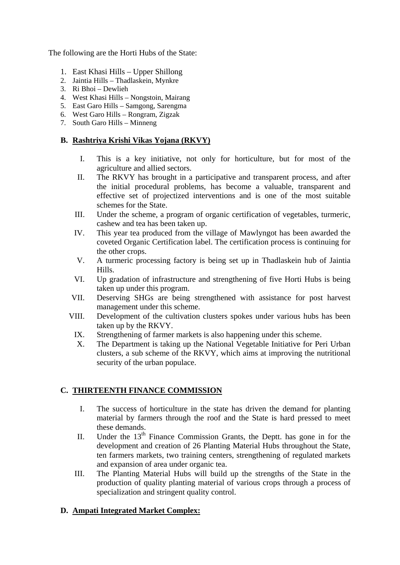The following are the Horti Hubs of the State:

- 1. East Khasi Hills Upper Shillong
- 2. Jaintia Hills Thadlaskein, Mynkre
- 3. Ri Bhoi Dewlieh
- 4. West Khasi Hills Nongstoin, Mairang
- 5. East Garo Hills Samgong, Sarengma
- 6. West Garo Hills Rongram, Zigzak
- 7. South Garo Hills Minneng

## **B. Rashtriya Krishi Vikas Yojana (RKVY)**

- I. This is a key initiative, not only for horticulture, but for most of the agriculture and allied sectors.
- II. The RKVY has brought in a participative and transparent process, and after the initial procedural problems, has become a valuable, transparent and effective set of projectized interventions and is one of the most suitable schemes for the State.
- III. Under the scheme, a program of organic certification of vegetables, turmeric, cashew and tea has been taken up.
- IV. This year tea produced from the village of Mawlyngot has been awarded the coveted Organic Certification label. The certification process is continuing for the other crops.
- V. A turmeric processing factory is being set up in Thadlaskein hub of Jaintia Hills.
- VI. Up gradation of infrastructure and strengthening of five Horti Hubs is being taken up under this program.
- VII. Deserving SHGs are being strengthened with assistance for post harvest management under this scheme.
- VIII. Development of the cultivation clusters spokes under various hubs has been taken up by the RKVY.
	- IX. Strengthening of farmer markets is also happening under this scheme.
	- X. The Department is taking up the National Vegetable Initiative for Peri Urban clusters, a sub scheme of the RKVY, which aims at improving the nutritional security of the urban populace.

## **C. THIRTEENTH FINANCE COMMISSION**

- I. The success of horticulture in the state has driven the demand for planting material by farmers through the roof and the State is hard pressed to meet these demands.
- II. Under the  $13<sup>th</sup>$  Finance Commission Grants, the Deptt. has gone in for the development and creation of 26 Planting Material Hubs throughout the State, ten farmers markets, two training centers, strengthening of regulated markets and expansion of area under organic tea.
- III. The Planting Material Hubs will build up the strengths of the State in the production of quality planting material of various crops through a process of specialization and stringent quality control.

## **D. Ampati Integrated Market Complex:**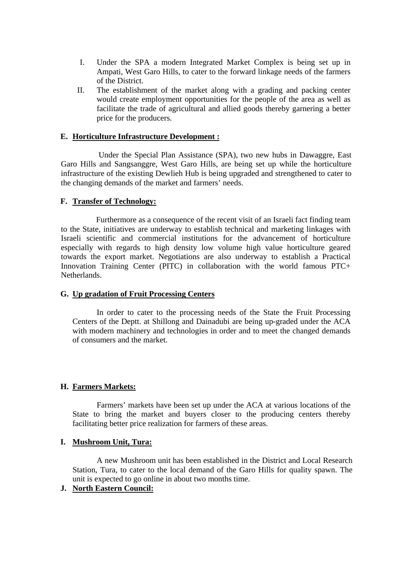- I. Under the SPA a modern Integrated Market Complex is being set up in Ampati, West Garo Hills, to cater to the forward linkage needs of the farmers of the District.
- II. The establishment of the market along with a grading and packing center would create employment opportunities for the people of the area as well as facilitate the trade of agricultural and allied goods thereby garnering a better price for the producers.

## **E. Horticulture Infrastructure Development :**

Under the Special Plan Assistance (SPA), two new hubs in Dawaggre, East Garo Hills and Sangsanggre, West Garo Hills, are being set up while the horticulture infrastructure of the existing Dewlieh Hub is being upgraded and strengthened to cater to the changing demands of the market and farmers' needs.

## **F. Transfer of Technology:**

Furthermore as a consequence of the recent visit of an Israeli fact finding team to the State, initiatives are underway to establish technical and marketing linkages with Israeli scientific and commercial institutions for the advancement of horticulture especially with regards to high density low volume high value horticulture geared towards the export market. Negotiations are also underway to establish a Practical Innovation Training Center (PITC) in collaboration with the world famous PTC+ Netherlands.

## **G. Up gradation of Fruit Processing Centers**

In order to cater to the processing needs of the State the Fruit Processing Centers of the Deptt. at Shillong and Dainadubi are being up-graded under the ACA with modern machinery and technologies in order and to meet the changed demands of consumers and the market.

## **H. Farmers Markets:**

Farmers' markets have been set up under the ACA at various locations of the State to bring the market and buyers closer to the producing centers thereby facilitating better price realization for farmers of these areas.

## **I. Mushroom Unit, Tura:**

A new Mushroom unit has been established in the District and Local Research Station, Tura, to cater to the local demand of the Garo Hills for quality spawn. The unit is expected to go online in about two months time.

## **J. North Eastern Council:**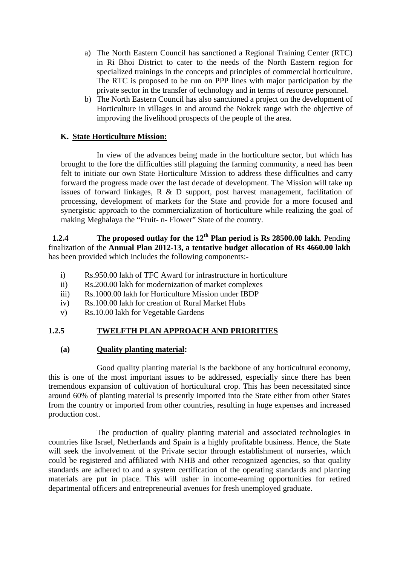- a) The North Eastern Council has sanctioned a Regional Training Center (RTC) in Ri Bhoi District to cater to the needs of the North Eastern region for specialized trainings in the concepts and principles of commercial horticulture. The RTC is proposed to be run on PPP lines with major participation by the private sector in the transfer of technology and in terms of resource personnel.
- b) The North Eastern Council has also sanctioned a project on the development of Horticulture in villages in and around the Nokrek range with the objective of improving the livelihood prospects of the people of the area.

## **K. State Horticulture Mission:**

In view of the advances being made in the horticulture sector, but which has brought to the fore the difficulties still plaguing the farming community, a need has been felt to initiate our own State Horticulture Mission to address these difficulties and carry forward the progress made over the last decade of development. The Mission will take up issues of forward linkages, R & D support, post harvest management, facilitation of processing, development of markets for the State and provide for a more focused and synergistic approach to the commercialization of horticulture while realizing the goal of making Meghalaya the "Fruit- n- Flower" State of the country.

 **1.2.4** The proposed outlay for the 12<sup>th</sup> Plan period is Rs 28500.00 lakh. Pending finalization of the **Annual Plan 2012-13, a tentative budget allocation of Rs 4660.00 lakh** has been provided which includes the following components:-

- i) Rs.950.00 lakh of TFC Award for infrastructure in horticulture
- ii) Rs.200.00 lakh for modernization of market complexes
- iii) Rs.1000.00 lakh for Horticulture Mission under IBDP
- iv) Rs.100.00 lakh for creation of Rural Market Hubs
- v) Rs.10.00 lakh for Vegetable Gardens

## **1.2.5 TWELFTH PLAN APPROACH AND PRIORITIES**

## **(a) Quality planting material:**

Good quality planting material is the backbone of any horticultural economy, this is one of the most important issues to be addressed, especially since there has been tremendous expansion of cultivation of horticultural crop. This has been necessitated since around 60% of planting material is presently imported into the State either from other States from the country or imported from other countries, resulting in huge expenses and increased production cost.

 The production of quality planting material and associated technologies in countries like Israel, Netherlands and Spain is a highly profitable business. Hence, the State will seek the involvement of the Private sector through establishment of nurseries, which could be registered and affiliated with NHB and other recognized agencies, so that quality standards are adhered to and a system certification of the operating standards and planting materials are put in place. This will usher in income-earning opportunities for retired departmental officers and entrepreneurial avenues for fresh unemployed graduate.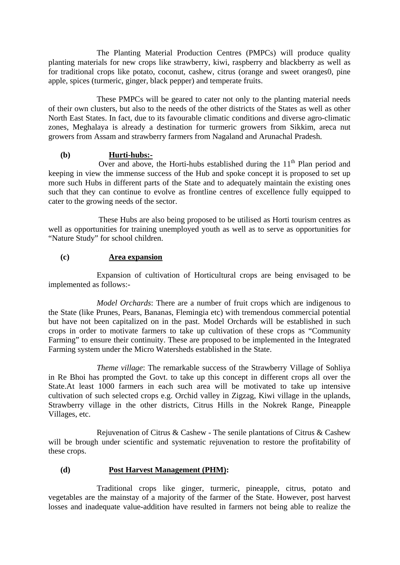The Planting Material Production Centres (PMPCs) will produce quality planting materials for new crops like strawberry, kiwi, raspberry and blackberry as well as for traditional crops like potato, coconut, cashew, citrus (orange and sweet oranges0, pine apple, spices (turmeric, ginger, black pepper) and temperate fruits.

 These PMPCs will be geared to cater not only to the planting material needs of their own clusters, but also to the needs of the other districts of the States as well as other North East States. In fact, due to its favourable climatic conditions and diverse agro-climatic zones, Meghalaya is already a destination for turmeric growers from Sikkim, areca nut growers from Assam and strawberry farmers from Nagaland and Arunachal Pradesh.

## **(b) Hurti-hubs:-**

Over and above, the Horti-hubs established during the  $11<sup>th</sup>$  Plan period and keeping in view the immense success of the Hub and spoke concept it is proposed to set up more such Hubs in different parts of the State and to adequately maintain the existing ones such that they can continue to evolve as frontline centres of excellence fully equipped to cater to the growing needs of the sector.

These Hubs are also being proposed to be utilised as Horti tourism centres as well as opportunities for training unemployed youth as well as to serve as opportunities for "Nature Study" for school children.

## **(c) Area expansion**

Expansion of cultivation of Horticultural crops are being envisaged to be implemented as follows:-

*Model Orchards*: There are a number of fruit crops which are indigenous to the State (like Prunes, Pears, Bananas, Flemingia etc) with tremendous commercial potential but have not been capitalized on in the past. Model Orchards will be established in such crops in order to motivate farmers to take up cultivation of these crops as "Community Farming" to ensure their continuity. These are proposed to be implemented in the Integrated Farming system under the Micro Watersheds established in the State.

*Theme village*: The remarkable success of the Strawberry Village of Sohliya in Re Bhoi has prompted the Govt. to take up this concept in different crops all over the State.At least 1000 farmers in each such area will be motivated to take up intensive cultivation of such selected crops e.g. Orchid valley in Zigzag, Kiwi village in the uplands, Strawberry village in the other districts, Citrus Hills in the Nokrek Range, Pineapple Villages, etc.

Rejuvenation of Citrus & Cashew - The senile plantations of Citrus & Cashew will be brough under scientific and systematic rejuvenation to restore the profitability of these crops.

## **(d) Post Harvest Management (PHM):**

Traditional crops like ginger, turmeric, pineapple, citrus, potato and vegetables are the mainstay of a majority of the farmer of the State. However, post harvest losses and inadequate value-addition have resulted in farmers not being able to realize the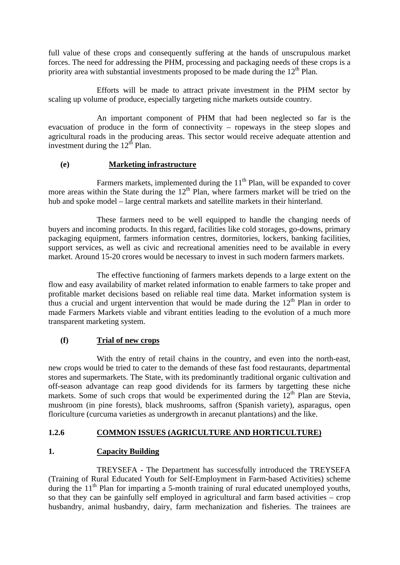full value of these crops and consequently suffering at the hands of unscrupulous market forces. The need for addressing the PHM, processing and packaging needs of these crops is a priority area with substantial investments proposed to be made during the  $12<sup>th</sup>$  Plan.

 Efforts will be made to attract private investment in the PHM sector by scaling up volume of produce, especially targeting niche markets outside country.

 An important component of PHM that had been neglected so far is the evacuation of produce in the form of connectivity – ropeways in the steep slopes and agricultural roads in the producing areas. This sector would receive adequate attention and investment during the  $12<sup>th</sup>$  Plan.

## **(e) Marketing infrastructure**

Farmers markets, implemented during the  $11<sup>th</sup>$  Plan, will be expanded to cover more areas within the State during the  $12<sup>th</sup>$  Plan, where farmers market will be tried on the hub and spoke model – large central markets and satellite markets in their hinterland.

 These farmers need to be well equipped to handle the changing needs of buyers and incoming products. In this regard, facilities like cold storages, go-downs, primary packaging equipment, farmers information centres, dormitories, lockers, banking facilities, support services, as well as civic and recreational amenities need to be available in every market. Around 15-20 crores would be necessary to invest in such modern farmers markets.

 The effective functioning of farmers markets depends to a large extent on the flow and easy availability of market related information to enable farmers to take proper and profitable market decisions based on reliable real time data. Market information system is thus a crucial and urgent intervention that would be made during the  $12<sup>th</sup>$  Plan in order to made Farmers Markets viable and vibrant entities leading to the evolution of a much more transparent marketing system.

## **(f) Trial of new crops**

 With the entry of retail chains in the country, and even into the north-east, new crops would be tried to cater to the demands of these fast food restaurants, departmental stores and supermarkets. The State, with its predominantly traditional organic cultivation and off-season advantage can reap good dividends for its farmers by targetting these niche markets. Some of such crops that would be experimented during the  $12<sup>th</sup>$  Plan are Stevia, mushroom (in pine forests), black mushrooms, saffron (Spanish variety), asparagus, open floriculture (curcuma varieties as undergrowth in arecanut plantations) and the like.

## **1.2.6 COMMON ISSUES (AGRICULTURE AND HORTICULTURE)**

## **1. Capacity Building**

 TREYSEFA - The Department has successfully introduced the TREYSEFA (Training of Rural Educated Youth for Self-Employment in Farm-based Activities) scheme during the 11<sup>th</sup> Plan for imparting a 5-month training of rural educated unemployed youths, so that they can be gainfully self employed in agricultural and farm based activities – crop husbandry, animal husbandry, dairy, farm mechanization and fisheries. The trainees are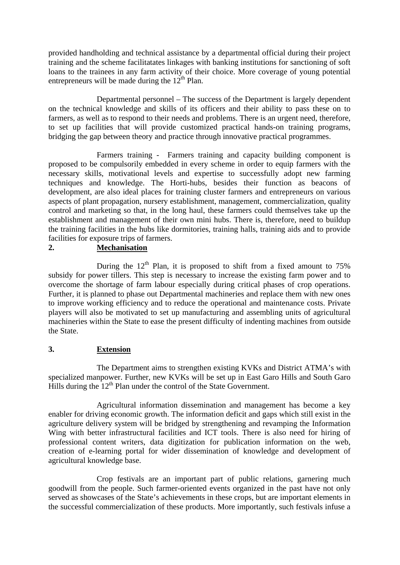provided handholding and technical assistance by a departmental official during their project training and the scheme facilitatates linkages with banking institutions for sanctioning of soft loans to the trainees in any farm activity of their choice. More coverage of young potential entrepreneurs will be made during the  $12<sup>th</sup>$  Plan.

 Departmental personnel – The success of the Department is largely dependent on the technical knowledge and skills of its officers and their ability to pass these on to farmers, as well as to respond to their needs and problems. There is an urgent need, therefore, to set up facilities that will provide customized practical hands-on training programs, bridging the gap between theory and practice through innovative practical programmes.

 Farmers training - Farmers training and capacity building component is proposed to be compulsorily embedded in every scheme in order to equip farmers with the necessary skills, motivational levels and expertise to successfully adopt new farming techniques and knowledge. The Horti-hubs, besides their function as beacons of development, are also ideal places for training cluster farmers and entrepreneurs on various aspects of plant propagation, nursery establishment, management, commercialization, quality control and marketing so that, in the long haul, these farmers could themselves take up the establishment and management of their own mini hubs. There is, therefore, need to buildup the training facilities in the hubs like dormitories, training halls, training aids and to provide facilities for exposure trips of farmers.

## **2. Mechanisation**

During the  $12<sup>th</sup>$  Plan, it is proposed to shift from a fixed amount to 75% subsidy for power tillers. This step is necessary to increase the existing farm power and to overcome the shortage of farm labour especially during critical phases of crop operations. Further, it is planned to phase out Departmental machineries and replace them with new ones to improve working efficiency and to reduce the operational and maintenance costs. Private players will also be motivated to set up manufacturing and assembling units of agricultural machineries within the State to ease the present difficulty of indenting machines from outside the State.

## **3. Extension**

 The Department aims to strengthen existing KVKs and District ATMA's with specialized manpower. Further, new KVKs will be set up in East Garo Hills and South Garo Hills during the  $12<sup>th</sup>$  Plan under the control of the State Government.

 Agricultural information dissemination and management has become a key enabler for driving economic growth. The information deficit and gaps which still exist in the agriculture delivery system will be bridged by strengthening and revamping the Information Wing with better infrastructural facilities and ICT tools. There is also need for hiring of professional content writers, data digitization for publication information on the web, creation of e-learning portal for wider dissemination of knowledge and development of agricultural knowledge base.

 Crop festivals are an important part of public relations, garnering much goodwill from the people. Such farmer-oriented events organized in the past have not only served as showcases of the State's achievements in these crops, but are important elements in the successful commercialization of these products. More importantly, such festivals infuse a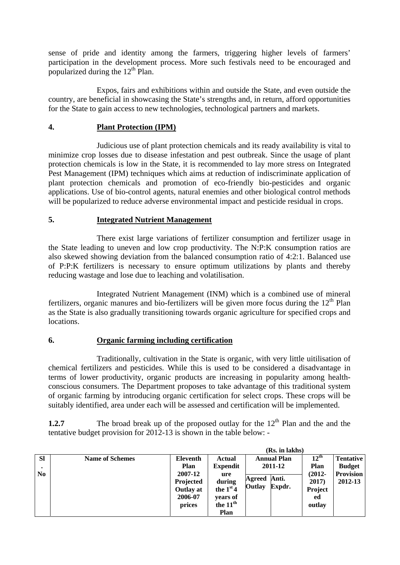sense of pride and identity among the farmers, triggering higher levels of farmers' participation in the development process. More such festivals need to be encouraged and popularized during the  $12<sup>th</sup>$  Plan.

 Expos, fairs and exhibitions within and outside the State, and even outside the country, are beneficial in showcasing the State's strengths and, in return, afford opportunities for the State to gain access to new technologies, technological partners and markets.

## **4. Plant Protection (IPM)**

 Judicious use of plant protection chemicals and its ready availability is vital to minimize crop losses due to disease infestation and pest outbreak. Since the usage of plant protection chemicals is low in the State, it is recommended to lay more stress on Integrated Pest Management (IPM) techniques which aims at reduction of indiscriminate application of plant protection chemicals and promotion of eco-friendly bio-pesticides and organic applications. Use of bio-control agents, natural enemies and other biological control methods will be popularized to reduce adverse environmental impact and pesticide residual in crops.

## **5. Integrated Nutrient Management**

 There exist large variations of fertilizer consumption and fertilizer usage in the State leading to uneven and low crop productivity. The N:P:K consumption ratios are also skewed showing deviation from the balanced consumption ratio of 4:2:1. Balanced use of P:P:K fertilizers is necessary to ensure optimum utilizations by plants and thereby reducing wastage and lose due to leaching and volatilisation.

 Integrated Nutrient Management (INM) which is a combined use of mineral fertilizers, organic manures and bio-fertilizers will be given more focus during the  $12<sup>th</sup>$  Plan as the State is also gradually transitioning towards organic agriculture for specified crops and locations.

## **6. Organic farming including certification**

 Traditionally, cultivation in the State is organic, with very little uitilisation of chemical fertilizers and pesticides. While this is used to be considered a disadvantage in terms of lower productivity, organic products are increasing in popularity among healthconscious consumers. The Department proposes to take advantage of this traditional system of organic farming by introducing organic certification for select crops. These crops will be suitably identified, area under each will be assessed and certification will be implemented.

**1.2.7** The broad break up of the proposed outlay for the 12<sup>th</sup> Plan and the and the tentative budget provision for 2012-13 is shown in the table below: -

|                             |                        |                                                    |                                                        | (Rs. in lakhs)                                   |                                       |                                                       |
|-----------------------------|------------------------|----------------------------------------------------|--------------------------------------------------------|--------------------------------------------------|---------------------------------------|-------------------------------------------------------|
| <b>Sl</b><br>N <sub>0</sub> | <b>Name of Schemes</b> | Eleventh<br><b>Plan</b><br>2007-12                 | <b>Actual</b><br><b>Expendit</b><br>ure                | <b>Annual Plan</b><br>2011-12<br>Anti.<br>Agreed | $12^{\text{th}}$<br>Plan<br>$(2012 -$ | <b>Tentative</b><br><b>Budget</b><br><b>Provision</b> |
|                             |                        | Projected<br><b>Outlay at</b><br>2006-07<br>prices | during<br>the $1st4$<br>vears of<br>the $11th$<br>Plan | Outlay<br>Expdr.                                 | 2017)<br>Project<br>ed<br>outlay      | 2012-13                                               |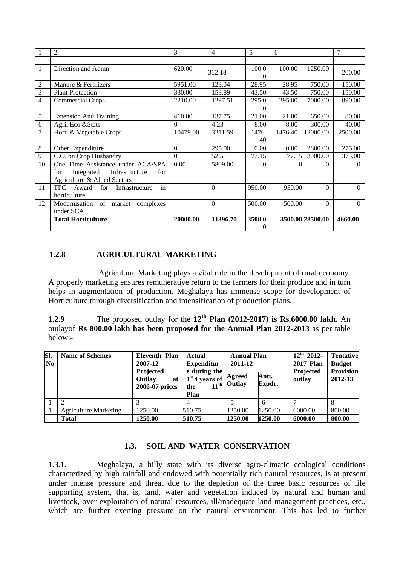|                | 2                                          | 3        | 4        | 5        | 6       |                  | 7        |
|----------------|--------------------------------------------|----------|----------|----------|---------|------------------|----------|
|                |                                            |          |          |          |         |                  |          |
| $\mathbf{1}$   | Direction and Admn                         | 620.00   | 312.18   | 100.0    | 100.00  | 1250.00          | 200.00   |
|                |                                            |          |          | $\Omega$ |         |                  |          |
| 2              | Manure & Fertilizers                       | 5951.00  | 123.04   | 28.95    | 28.95   | 750.00           | 150.00   |
| 3              | <b>Plant Protection</b>                    | 330.00   | 153.89   | 43.50    | 43.50   | 750.00           | 150.00   |
| 4              | Commercial Crops                           | 2210.00  | 1297.51  | 295.0    | 295.00  | 7000.00          | 890.00   |
|                |                                            |          |          | 0        |         |                  |          |
| 5              | <b>Extension And Training</b>              | 410.00   | 137.75   | 21.00    | 21.00   | 650.00           | 80.00    |
| 6              | Agril Eco & Stats                          | 0        | 4.23     | 8.00     | 8.00    | 300.00           | 40.00    |
| $\overline{7}$ | Horti & Vegetable Crops                    | 10479.00 | 3211.59  | 1476.    | 1476.40 | 12000.00         | 2500.00  |
|                |                                            |          |          | 40       |         |                  |          |
| 8              | Other Expenditure                          | $\Omega$ | 295.00   | 0.00     | 0.00    | 2800.00          | 275.00   |
| 9              | C.O. on Crop Husbandry                     | $\Omega$ | 52.51    | 77.15    | 77.15   | 3000.00          | 375.00   |
| 10             | One Time Assistance under ACA/SPA          | 0.00     | 5809.00  | $\Omega$ |         | 0                | 0        |
|                | Infrastructure<br>Integrated<br>for<br>for |          |          |          |         |                  |          |
|                | Agriculture & Allied Sectors               |          |          |          |         |                  |          |
| 11             | in<br>TFC Award<br>Infrastructure<br>for   |          | $\Omega$ | 950.00   | 950.00  | $\Omega$         | $\Omega$ |
|                | horticulture                               |          |          |          |         |                  |          |
| 12             | of market complexes<br>Modernisation       |          | $\Omega$ | 500.00   | 500.00  | $\Omega$         | $\theta$ |
|                | under SCA                                  |          |          |          |         |                  |          |
|                | <b>Total Horticulture</b>                  | 20000.00 | 11396.70 | 3500.0   |         | 3500.00 28500.00 | 4660.00  |
|                |                                            |          |          | 0        |         |                  |          |

## **1.2.8 AGRICULTURAL MARKETING**

Agriculture Marketing plays a vital role in the development of rural economy. A properly marketing ensures remunerative return to the farmers for their produce and in turn helps in augmentation of production. Meghalaya has immense scope for development of Horticulture through diversification and intensification of production plans.

**1.2.9** The proposed outlay for the **12th Plan (2012-2017) is Rs.6000.00 lakh.** An outlayof **Rs 800.00 lakh has been proposed for the Annual Plan 2012-2013** as per table below:-

| SI.<br>N <sub>0</sub> | <b>Name of Schemes</b>       | Eleventh Plan<br>2007-12<br>Projected<br>Outlay<br>at<br>2006-07 prices | Actual<br><b>Expenditur</b><br>e during the<br>$1st$ 4 years of<br>$11^{\text{th}}$<br>the<br>Plan | <b>Annual Plan</b><br>2011-12<br>Agreed<br><b>Outlay</b> | Anti.<br>Expdr. | $12^{th}$ 2012-<br><b>2017 Plan</b><br>Projected<br>outlay | <b>Tentative</b><br><b>Budget</b><br><b>Provision</b><br>2012-13 |
|-----------------------|------------------------------|-------------------------------------------------------------------------|----------------------------------------------------------------------------------------------------|----------------------------------------------------------|-----------------|------------------------------------------------------------|------------------------------------------------------------------|
|                       |                              |                                                                         |                                                                                                    |                                                          |                 |                                                            | 8                                                                |
|                       | <b>Agriculture Marketing</b> | 1250.00                                                                 | 510.75                                                                                             | 1250.00                                                  | 1250.00         | 6000.00                                                    | 800.00                                                           |
|                       | <b>Total</b>                 | 1250.00                                                                 | 510.75                                                                                             | 1250.00                                                  | 1250.00         | 6000.00                                                    | 800.00                                                           |

## **1.3. SOIL AND WATER CONSERVATION**

**1.3.1.** Meghalaya, a hilly state with its diverse agro-climatic ecological conditions characterized by high rainfall and endowed with potentially rich natural resources, is at present under intense pressure and threat due to the depletion of the three basic resources of life supporting system, that is, land, water and vegetation induced by natural and human and livestock, over exploitation of natural resources, ill/inadequate land management practices, etc., which are further exerting pressure on the natural environment. This has led to further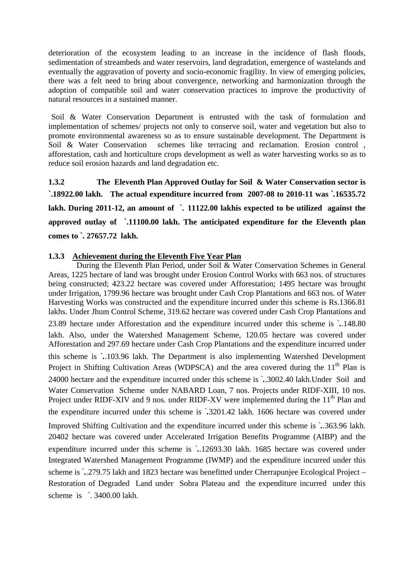deterioration of the ecosystem leading to an increase in the incidence of flash floods, sedimentation of streambeds and water reservoirs, land degradation, emergence of wastelands and eventually the aggravation of poverty and socio-economic fragility. In view of emerging policies, there was a felt need to bring about convergence, networking and harmonization through the adoption of compatible soil and water conservation practices to improve the productivity of natural resources in a sustained manner.

Soil & Water Conservation Department is entrusted with the task of formulation and implementation of schemes/ projects not only to conserve soil, water and vegetation but also to promote environmental awareness so as to ensure sustainable development. The Department is Soil & Water Conservation schemes like terracing and reclamation. Erosion control , afforestation, cash and horticulture crops development as well as water harvesting works so as to reduce soil erosion hazards and land degradation etc.

**1.3.2 The Eleventh Plan Approved Outlay for Soil & Water Conservation sector is `.18922.00 lakh. The actual expenditure incurred from 2007-08 to 2010-11 was `***.***16535.72 lakh. During 2011-12, an amount of `. 11122.00 lakhis expected to be utilized against the approved outlay of `.11100.00 lakh. The anticipated expenditure for the Eleventh plan comes to `. 27657.72 lakh.** 

## **1.3.3 Achievement during the Eleventh Five Year Plan**

 During the Eleventh Plan Period, under Soil & Water Conservation Schemes in General Areas, 1225 hectare of land was brought under Erosion Control Works with 663 nos. of structures being constructed; 423.22 hectare was covered under Afforestation; 1495 hectare was brought under Irrigation, 1799.96 hectare was brought under Cash Crop Plantations and 663 nos. of Water Harvesting Works was constructed and the expenditure incurred under this scheme is Rs.1366.81 lakhs. Under Jhum Control Scheme, 319.62 hectare was covered under Cash Crop Plantations and 23.89 hectare under Afforestation and the expenditure incurred under this scheme is `*.*.148.80 lakh. Also, under the Watershed Management Scheme, 120.05 hectare was covered under Afforestation and 297.69 hectare under Cash Crop Plantations and the expenditure incurred under this scheme is `*.*.103.96 lakh. The Department is also implementing Watershed Development Project in Shifting Cultivation Areas (WDPSCA) and the area covered during the 11<sup>th</sup> Plan is 24000 hectare and the expenditure incurred under this scheme is `*.*.3002.40 lakh.Under Soil and Water Conservation Scheme under NABARD Loan, 7 nos. Projects under RIDF-XIII, 10 nos. Project under RIDF-XIV and 9 nos. under RIDF-XV were implemented during the  $11<sup>th</sup>$  Plan and the expenditure incurred under this scheme is `*.*3201.42 lakh. 1606 hectare was covered under Improved Shifting Cultivation and the expenditure incurred under this scheme is `*.*.363.96 lakh. 20402 hectare was covered under Accelerated Irrigation Benefits Programme (AIBP) and the expenditure incurred under this scheme is `*.*.12693.30 lakh. 1685 hectare was covered under Integrated Watershed Management Programme (IWMP) and the expenditure incurred under this scheme is `*.*.279.75 lakh and 1823 hectare was benefitted under Cherrapunjee Ecological Project – Restoration of Degraded Land under Sohra Plateau and the expenditure incurred under this scheme is  $\cdot$  3400.00 lakh.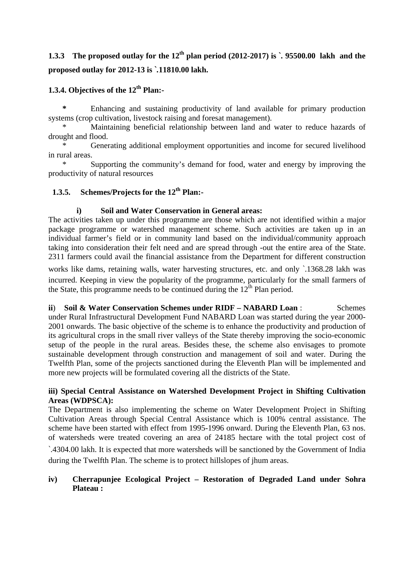# **1.3.3 The proposed outlay for the 12<sup>th</sup> plan period (2012-2017) is**  $\cdot$  **<b>95500.00** lakh and the **proposed outlay for 2012-13 is `***.***11810.00 lakh.**

## **1.3.4. Objectives of the 12<sup>th</sup> Plan:-**

Enhancing and sustaining productivity of land available for primary production systems (crop cultivation, livestock raising and foresat management).

Maintaining beneficial relationship between land and water to reduce hazards of drought and flood.

 \* Generating additional employment opportunities and income for secured livelihood in rural areas.

Supporting the community's demand for food, water and energy by improving the productivity of natural resources

## **1.3.5.** Schemes/Projects for the 12<sup>th</sup> Plan:-

## **i) Soil and Water Conservation in General areas:**

The activities taken up under this programme are those which are not identified within a major package programme or watershed management scheme. Such activities are taken up in an individual farmer's field or in community land based on the individual/community approach taking into consideration their felt need and are spread through -out the entire area of the State. 2311 farmers could avail the financial assistance from the Department for different construction

works like dams, retaining walls, water harvesting structures, etc. and only `.1368.28 lakh was incurred. Keeping in view the popularity of the programme, particularly for the small farmers of the State, this programme needs to be continued during the  $12<sup>th</sup>$  Plan period.

**ii**) **Soil & Water Conservation Schemes under RIDF – NABARD Loan** : Schemes under Rural Infrastructural Development Fund NABARD Loan was started during the year 2000- 2001 onwards. The basic objective of the scheme is to enhance the productivity and production of its agricultural crops in the small river valleys of the State thereby improving the socio-economic setup of the people in the rural areas. Besides these, the scheme also envisages to promote sustainable development through construction and management of soil and water. During the Twelfth Plan, some of the projects sanctioned during the Eleventh Plan will be implemented and more new projects will be formulated covering all the districts of the State.

## **iii) Special Central Assistance on Watershed Development Project in Shifting Cultivation Areas (WDPSCA):**

The Department is also implementing the scheme on Water Development Project in Shifting Cultivation Areas through Special Central Assistance which is 100% central assistance. The scheme have been started with effect from 1995-1996 onward. During the Eleventh Plan, 63 nos. of watersheds were treated covering an area of 24185 hectare with the total project cost of

`.4304.00 lakh. It is expected that more watersheds will be sanctioned by the Government of India during the Twelfth Plan. The scheme is to protect hillslopes of jhum areas.

## **iv) Cherrapunjee Ecological Project – Restoration of Degraded Land under Sohra Plateau :**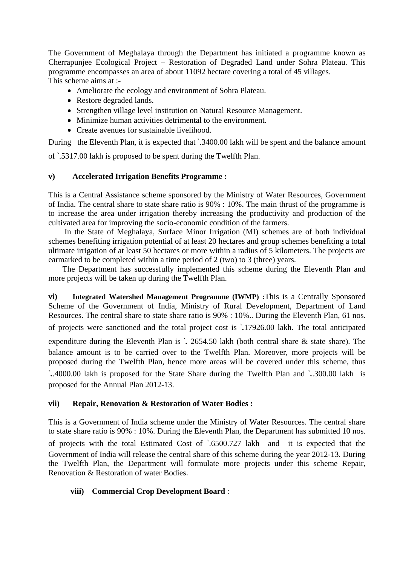The Government of Meghalaya through the Department has initiated a programme known as Cherrapunjee Ecological Project – Restoration of Degraded Land under Sohra Plateau. This programme encompasses an area of about 11092 hectare covering a total of 45 villages. This scheme aims at :-

- Ameliorate the ecology and environment of Sohra Plateau.
- Restore degraded lands.
- Strengthen village level institution on Natural Resource Management.
- Minimize human activities detrimental to the environment.
- Create avenues for sustainable livelihood.

During the Eleventh Plan, it is expected that  $\cdot$  3400.00 lakh will be spent and the balance amount of `.5317.00 lakh is proposed to be spent during the Twelfth Plan.

## **v) Accelerated Irrigation Benefits Programme :**

This is a Central Assistance scheme sponsored by the Ministry of Water Resources, Government of India. The central share to state share ratio is 90% : 10%. The main thrust of the programme is to increase the area under irrigation thereby increasing the productivity and production of the cultivated area for improving the socio-economic condition of the farmers.

 In the State of Meghalaya, Surface Minor Irrigation (MI) schemes are of both individual schemes benefiting irrigation potential of at least 20 hectares and group schemes benefiting a total ultimate irrigation of at least 50 hectares or more within a radius of 5 kilometers. The projects are earmarked to be completed within a time period of 2 (two) to 3 (three) years.

 The Department has successfully implemented this scheme during the Eleventh Plan and more projects will be taken up during the Twelfth Plan.

**vi) Integrated Watershed Management Programme (IWMP) :**This is a Centrally Sponsored Scheme of the Government of India, Ministry of Rural Development, Department of Land Resources. The central share to state share ratio is 90% : 10%.. During the Eleventh Plan, 61 nos.

of projects were sanctioned and the total project cost is `*.*17926.00 lakh. The total anticipated

expenditure during the Eleventh Plan is `*.* 2654.50 lakh (both central share & state share). The balance amount is to be carried over to the Twelfth Plan. Moreover, more projects will be proposed during the Twelfth Plan, hence more areas will be covered under this scheme, thus

`*.*.4000.00 lakh is proposed for the State Share during the Twelfth Plan and `*.*.300.00 lakh is proposed for the Annual Plan 2012-13.

## **vii) Repair, Renovation & Restoration of Water Bodies :**

This is a Government of India scheme under the Ministry of Water Resources. The central share to state share ratio is 90% : 10%. During the Eleventh Plan, the Department has submitted 10 nos. of projects with the total Estimated Cost of `.6500.727 lakh and it is expected that the Government of India will release the central share of this scheme during the year 2012-13. During the Twelfth Plan, the Department will formulate more projects under this scheme Repair, Renovation & Restoration of water Bodies.

## **viii) Commercial Crop Development Board** :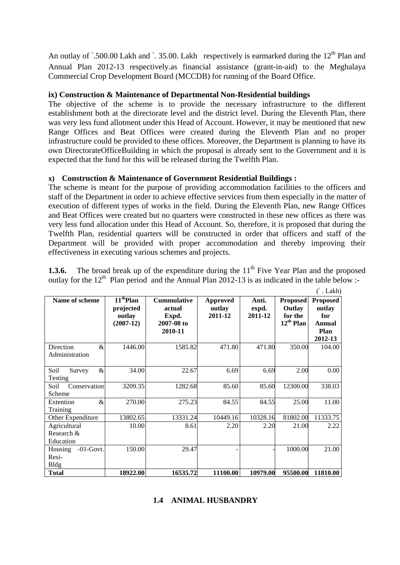An outlay of `.500.00 Lakh and `. 35.00. Lakh respectively is earmarked during the  $12<sup>th</sup>$  Plan and Annual Plan 2012-13 respectively.as financial assistance (grant-in-aid) to the Meghalaya Commercial Crop Development Board (MCCDB) for running of the Board Office.

## **ix) Construction & Maintenance of Departmental Non-Residential buildings**

The objective of the scheme is to provide the necessary infrastructure to the different establishment both at the directorate level and the district level. During the Eleventh Plan, there was very less fund allotment under this Head of Account. However, it may be mentioned that new Range Offices and Beat Offices were created during the Eleventh Plan and no proper infrastructure could be provided to these offices. Moreover, the Department is planning to have its own DirectorateOfficeBuilding in which the proposal is already sent to the Government and it is expected that the fund for this will be released during the Twelfth Plan.

## **x) Construction & Maintenance of Government Residential Buildings :**

The scheme is meant for the purpose of providing accommodation facilities to the officers and staff of the Department in order to achieve effective services from them especially in the matter of execution of different types of works in the field. During the Eleventh Plan, new Range Offices and Beat Offices were created but no quarters were constructed in these new offices as there was very less fund allocation under this Head of Account. So, therefore, it is proposed that during the Twelfth Plan, residential quarters will be constructed in order that officers and staff of the Department will be provided with proper accommodation and thereby improving their effectiveness in executing various schemes and projects.

|  | <b>1.3.6.</b> The broad break up of the expenditure during the $11th$ Five Year Plan and the proposed |  |  |  |  |
|--|-------------------------------------------------------------------------------------------------------|--|--|--|--|
|  | outlay for the $12th$ Plan period and the Annual Plan 2012-13 is as indicated in the table below :-   |  |  |  |  |

|                                                        |                                                             |                                                                |                                      |                           |                                                        | $\dot{\ }$ . Lakh)                                            |
|--------------------------------------------------------|-------------------------------------------------------------|----------------------------------------------------------------|--------------------------------------|---------------------------|--------------------------------------------------------|---------------------------------------------------------------|
| Name of scheme                                         | 11 <sup>th</sup> Plan<br>projected<br>outlay<br>$(2007-12)$ | <b>Cummulative</b><br>actual<br>Expd.<br>2007-08 to<br>2010-11 | <b>Approved</b><br>outlay<br>2011-12 | Anti.<br>expd.<br>2011-12 | <b>Proposed</b><br>Outlay<br>for the<br>$12^{th}$ Plan | <b>Proposed</b><br>outlay<br>for<br>Annual<br>Plan<br>2012-13 |
| Direction<br>&<br>Administration                       | 1446.00                                                     | 1585.82                                                        | 471.80                               | 471.80                    | 350.00                                                 | 104.00                                                        |
| &<br>Soil<br>Survey<br>Testing                         | 34.00                                                       | 22.67                                                          | 6.69                                 | 6.69                      | 2.00                                                   | $0.00\,$                                                      |
| Conservation<br>Soil<br>Scheme                         | 3209.35                                                     | 1282.68                                                        | 85.60                                | 85.60                     | 12300.00                                               | 338.03                                                        |
| $\&$<br>Extention<br>Training                          | 270.00                                                      | 275.23                                                         | 84.55                                | 84.55                     | 25.00                                                  | 11.00                                                         |
| Other Expenditure                                      | 13802.65                                                    | 13331.24                                                       | 10449.16                             | 10328.16                  | 81802.00                                               | 11333.75                                                      |
| Agricultural<br>Research &<br>Education                | 10.00                                                       | 8.61                                                           | 2.20                                 | 2.20                      | 21.00                                                  | 2.22                                                          |
| $-01$ -Govt.<br><b>Housing</b><br>Resi-<br><b>Bldg</b> | 150.00                                                      | 29.47                                                          |                                      |                           | 1000.00                                                | 21.00                                                         |
| <b>Total</b>                                           | 18922.00                                                    | 16535.72                                                       | 11100.00                             | 10979.00                  | 95500.00                                               | 11810.00                                                      |

## **1.4 ANIMAL HUSBANDRY**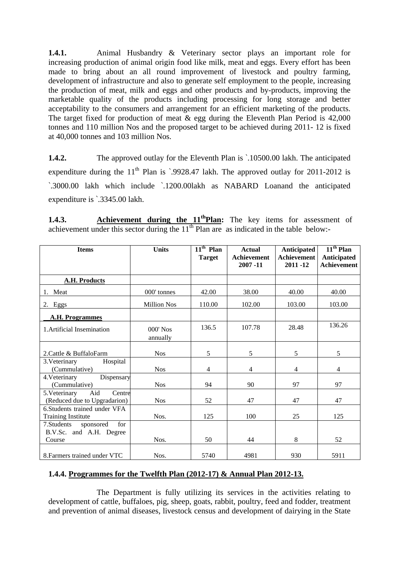**1.4.1.** Animal Husbandry & Veterinary sector plays an important role for increasing production of animal origin food like milk, meat and eggs. Every effort has been made to bring about an all round improvement of livestock and poultry farming, development of infrastructure and also to generate self employment to the people, increasing the production of meat, milk and eggs and other products and by-products, improving the marketable quality of the products including processing for long storage and better acceptability to the consumers and arrangement for an efficient marketing of the products. The target fixed for production of meat  $\&$  egg during the Eleventh Plan Period is 42,000 tonnes and 110 million Nos and the proposed target to be achieved during 2011- 12 is fixed at 40,000 tonnes and 103 million Nos.

**1.4.2.** The approved outlay for the Eleventh Plan is  $\cdot$  10500.00 lakh. The anticipated expenditure during the  $11<sup>th</sup>$  Plan is `.9928.47 lakh. The approved outlay for 2011-2012 is `.3000.00 lakh which include `.1200.00lakh as NABARD Loanand the anticipated expenditure is `.3345.00 lakh.

| 1.4.3. | <b>Achievement during the 11<sup>th</sup>Plan:</b> The key items for assessment of                   |  |  |  |  |  |
|--------|------------------------------------------------------------------------------------------------------|--|--|--|--|--|
|        | achievement under this sector during the 11 <sup>th</sup> Plan are as indicated in the table below:- |  |  |  |  |  |

| <b>Items</b>                                                   | <b>Units</b>           | $\overline{11^{th}}$ Plan<br><b>Target</b> | <b>Actual</b><br><b>Achievement</b><br>$2007 - 11$ | Anticipated<br><b>Achievement</b><br>2011-12 | $11th$ Plan<br><b>Anticipated</b><br>Achievement |
|----------------------------------------------------------------|------------------------|--------------------------------------------|----------------------------------------------------|----------------------------------------------|--------------------------------------------------|
| A.H. Products                                                  |                        |                                            |                                                    |                                              |                                                  |
| 1. Meat                                                        | 000' tonnes            | 42.00                                      | 38.00                                              | 40.00                                        | 40.00                                            |
| 2. Eggs                                                        | <b>Million Nos</b>     | 110.00                                     | 102.00                                             | 103.00                                       | 103.00                                           |
| <b>A.H. Programmes</b>                                         |                        |                                            |                                                    |                                              |                                                  |
| 1. Artificial Insemination                                     | $000'$ Nos<br>annually | 136.5                                      | 107.78                                             | 28.48                                        | 136.26                                           |
| 2. Cattle & BuffaloFarm                                        | <b>Nos</b>             | 5                                          | 5                                                  | 5                                            | 5                                                |
| 3. Veterinary<br>Hospital<br>(Cummulative)                     | <b>Nos</b>             | 4                                          | 4                                                  | $\overline{4}$                               | $\overline{4}$                                   |
| Dispensary<br>4. Veterinary<br>(Cummulative)                   | <b>Nos</b>             | 94                                         | 90                                                 | 97                                           | 97                                               |
| 5. Veterinary<br>Aid<br>Centre<br>(Reduced due to Upgradarion) | <b>Nos</b>             | 52                                         | 47                                                 | 47                                           | 47                                               |
| 6. Students trained under VFA<br><b>Training Institute</b>     | Nos.                   | 125                                        | 100                                                | 25                                           | 125                                              |
| 7. Students<br>for<br>sponsored<br>B.V.Sc. and A.H. Degree     |                        |                                            |                                                    |                                              |                                                  |
| Course                                                         | Nos.                   | 50                                         | 44                                                 | 8                                            | 52                                               |
| 8. Farmers trained under VTC                                   | Nos.                   | 5740                                       | 4981                                               | 930                                          | 5911                                             |

## **1.4.4. Programmes for the Twelfth Plan (2012-17) & Annual Plan 2012-13.**

The Department is fully utilizing its services in the activities relating to development of cattle, buffaloes, pig, sheep, goats, rabbit, poultry, feed and fodder, treatment and prevention of animal diseases, livestock census and development of dairying in the State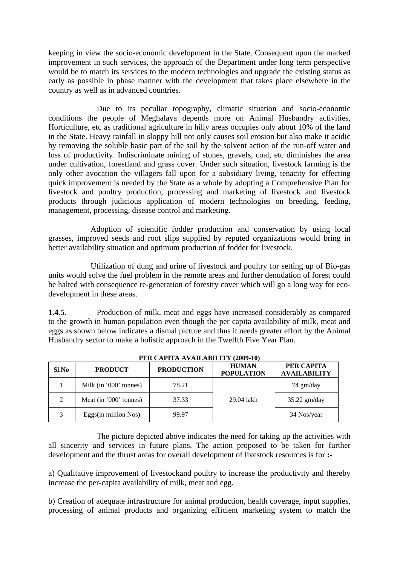keeping in view the socio-economic development in the State. Consequent upon the marked improvement in such services, the approach of the Department under long term perspective would be to match its services to the modern technologies and upgrade the existing status as early as possible in phase manner with the development that takes place elsewhere in the country as well as in advanced countries.

 Due to its peculiar topography, climatic situation and socio-economic conditions the people of Meghalaya depends more on Animal Husbandry activities, Horticulture, etc as traditional agriculture in hilly areas occupies only about 10% of the land in the State. Heavy rainfall in sloppy hill not only causes soil erosion but also make it acidic by removing the soluble basic part of the soil by the solvent action of the run-off water and loss of productivity. Indiscriminate mining of stones, gravels, coal, etc diminishes the area under cultivation, forestland and grass cover. Under such situation, livestock farming is the only other avocation the villagers fall upon for a subsidiary living, tenacity for effecting quick improvement is needed by the State as a whole by adopting a Comprehensive Plan for livestock and poultry production, processing and marketing of livestock and livestock products through judicious application of modern technologies on breeding, feeding, management, processing, disease control and marketing.

Adoption of scientific fodder production and conservation by using local grasses, improved seeds and root slips supplied by reputed organizations would bring in better availability situation and optimum production of fodder for livestock.

Utilization of dung and urine of livestock and poultry for setting up of Bio-gas units would solve the fuel problem in the remote areas and further denudation of forest could be halted with consequence re-generation of forestry cover which will go a long way for ecodevelopment in these areas.

**1.4.5.** Production of milk, meat and eggs have increased considerably as compared to the growth in human population even though the per capita availability of milk, meat and eggs as shown below indicates a dismal picture and thus it needs greater effort by the Animal Husbandry sector to make a holistic approach in the Twelfth Five Year Plan.

| Sl.No          | <b>PRODUCT</b>         | <b>PRODUCTION</b> | <b>HUMAN</b><br><b>POPULATION</b> | PER CAPITA<br><b>AVAILABILITY</b> |
|----------------|------------------------|-------------------|-----------------------------------|-----------------------------------|
|                | Milk (in '000' tonnes) | 78.21             |                                   | $74 \text{ gm/day}$               |
| $\mathfrak{D}$ | Meat (in '000' tonnes) | 37.33             | 29.04 lakh                        | $35.22$ gm/day                    |
| 3              | Eggs(in million Nos)   | 99.97             |                                   | 34 Nos/year                       |

**PER CAPITA AVAILABILITY (2009-10)** 

The picture depicted above indicates the need for taking up the activities with all sincerity and services in future plans. The action proposed to be taken for further development and the thrust areas for overall development of livestock resources is for **:-**

a) Qualitative improvement of livestockand poultry to increase the productivity and thereby increase the per-capita availability of milk, meat and egg.

b) Creation of adequate infrastructure for animal production, health coverage, input supplies, processing of animal products and organizing efficient marketing system to match the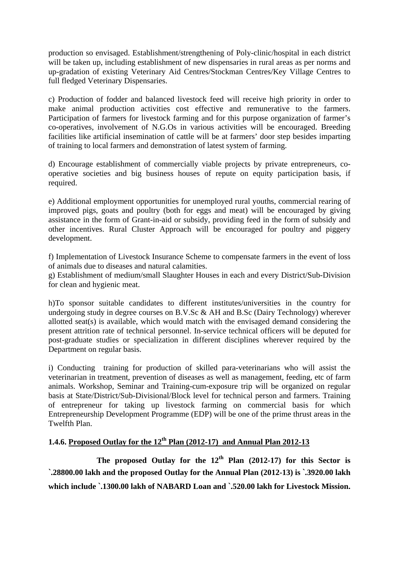production so envisaged. Establishment/strengthening of Poly-clinic/hospital in each district will be taken up, including establishment of new dispensaries in rural areas as per norms and up-gradation of existing Veterinary Aid Centres/Stockman Centres/Key Village Centres to full fledged Veterinary Dispensaries.

c) Production of fodder and balanced livestock feed will receive high priority in order to make animal production activities cost effective and remunerative to the farmers. Participation of farmers for livestock farming and for this purpose organization of farmer's co-operatives, involvement of N.G.Os in various activities will be encouraged. Breeding facilities like artificial insemination of cattle will be at farmers' door step besides imparting of training to local farmers and demonstration of latest system of farming.

d) Encourage establishment of commercially viable projects by private entrepreneurs, cooperative societies and big business houses of repute on equity participation basis, if required.

e) Additional employment opportunities for unemployed rural youths, commercial rearing of improved pigs, goats and poultry (both for eggs and meat) will be encouraged by giving assistance in the form of Grant-in-aid or subsidy, providing feed in the form of subsidy and other incentives. Rural Cluster Approach will be encouraged for poultry and piggery development.

f) Implementation of Livestock Insurance Scheme to compensate farmers in the event of loss of animals due to diseases and natural calamities.

g) Establishment of medium/small Slaughter Houses in each and every District/Sub-Division for clean and hygienic meat.

h)To sponsor suitable candidates to different institutes/universities in the country for undergoing study in degree courses on B.V.Sc & AH and B.Sc (Dairy Technology) wherever allotted seat(s) is available, which would match with the envisaged demand considering the present attrition rate of technical personnel. In-service technical officers will be deputed for post-graduate studies or specialization in different disciplines wherever required by the Department on regular basis.

i) Conducting training for production of skilled para-veterinarians who will assist the veterinarian in treatment, prevention of diseases as well as management, feeding, etc of farm animals. Workshop, Seminar and Training-cum-exposure trip will be organized on regular basis at State/District/Sub-Divisional/Block level for technical person and farmers. Training of entrepreneur for taking up livestock farming on commercial basis for which Entrepreneurship Development Programme (EDP) will be one of the prime thrust areas in the Twelfth Plan.

# **1.4.6. Proposed Outlay for the**  $12^{th}$  **Plan (2012-17) and Annual Plan 2012-13**

The proposed Outlay for the 12<sup>th</sup> Plan (2012-17) for this Sector is **`.28800.00 lakh and the proposed Outlay for the Annual Plan (2012-13) is `.3920.00 lakh which include `.1300.00 lakh of NABARD Loan and `.520.00 lakh for Livestock Mission.**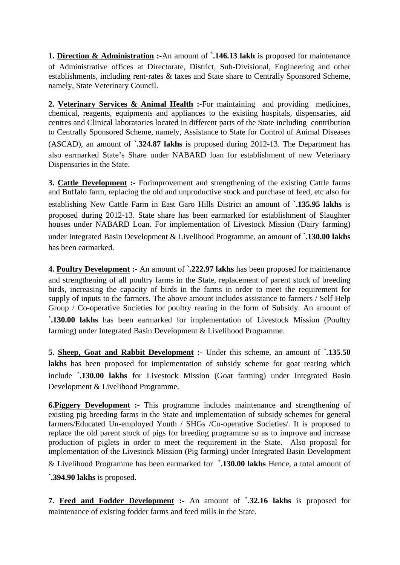**1. Direction & Administration :-**An amount of **`.146.13 lakh** is proposed for maintenance of Administrative offices at Directorate, District, Sub-Divisional, Engineering and other establishments, including rent-rates & taxes and State share to Centrally Sponsored Scheme, namely, State Veterinary Council.

**2. Veterinary Services & Animal Health :-**For maintaining and providing medicines, chemical, reagents, equipments and appliances to the existing hospitals, dispensaries, aid centres and Clinical laboratories located in different parts of the State including contribution to Centrally Sponsored Scheme, namely, Assistance to State for Control of Animal Diseases (ASCAD), an amount of **`.324.87 lakhs** is proposed during 2012-13. The Department has also earmarked State's Share under NABARD loan for establishment of new Veterinary Dispensaries in the State.

**3. Cattle Development :-** Forimprovement and strengthening of the existing Cattle farms and Buffalo farm, replacing the old and unproductive stock and purchase of feed, etc also for establishing New Cattle Farm in East Garo Hills District an amount of **`.135.95 lakhs** is proposed during 2012-13. State share has been earmarked for establishment of Slaughter houses under NABARD Loan. For implementation of Livestock Mission (Dairy farming) under Integrated Basin Development & Livelihood Programme, an amount of **`.130.00 lakhs** has been earmarked.

**4. Poultry Development :-** An amount of **`.222.97 lakhs** has been proposed for maintenance and strengthening of all poultry farms in the State, replacement of parent stock of breeding birds, increasing the capacity of birds in the farms in order to meet the requirement for supply of inputs to the farmers. The above amount includes assistance to farmers / Self Help Group / Co-operative Societies for poultry rearing in the form of Subsidy. An amount of **`.130.00 lakhs** has been earmarked for implementation of Livestock Mission (Poultry farming) under Integrated Basin Development & Livelihood Programme.

**5. Sheep, Goat and Rabbit Development :-** Under this scheme, an amount of **`.135.50**  lakhs has been proposed for implementation of subsidy scheme for goat rearing which include **`.130.00 lakhs** for Livestock Mission (Goat farming) under Integrated Basin Development & Livelihood Programme.

**6.Piggery Development :-** This programme includes maintenance and strengthening of existing pig breeding farms in the State and implementation of subsidy schemes for general farmers/Educated Un-employed Youth / SHGs /Co-operative Societies/. It is proposed to replace the old parent stock of pigs for breeding programme so as to improve and increase production of piglets in order to meet the requirement in the State. Also proposal for implementation of the Livestock Mission (Pig farming) under Integrated Basin Development

& Livelihood Programme has been earmarked for **`.130.00 lakhs** Hence, a total amount of

**`.394.90 lakhs** is proposed.

**7. Feed and Fodder Development :-** An amount of **`.32.16 lakhs** is proposed for maintenance of existing fodder farms and feed mills in the State.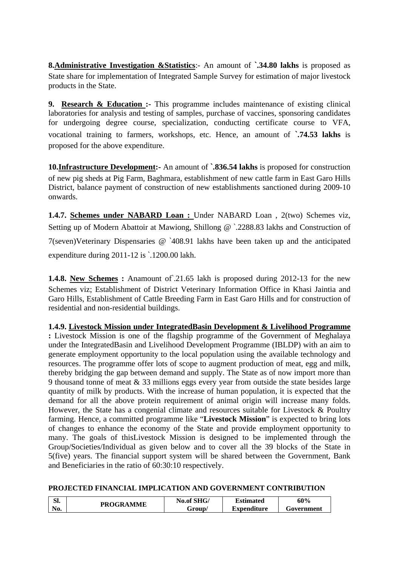**8.Administrative Investigation &Statistics**:- An amount of **`.34.80 lakhs** is proposed as State share for implementation of Integrated Sample Survey for estimation of major livestock products in the State.

**9. Research & Education :-** This programme includes maintenance of existing clinical laboratories for analysis and testing of samples, purchase of vaccines, sponsoring candidates for undergoing degree course, specialization, conducting certificate course to VFA, vocational training to farmers, workshops, etc. Hence, an amount of **`.74.53 lakhs** is proposed for the above expenditure.

**10.Infrastructure Development:-** An amount of **`.836.54 lakhs** is proposed for construction of new pig sheds at Pig Farm, Baghmara, establishment of new cattle farm in East Garo Hills District, balance payment of construction of new establishments sanctioned during 2009-10 onwards.

**1.4.7. Schemes under NABARD Loan :** Under NABARD Loan, 2(two) Schemes viz, Setting up of Modern Abattoir at Mawiong, Shillong @ `.2288.83 lakhs and Construction of 7(seven)Veterinary Dispensaries @ `408.91 lakhs have been taken up and the anticipated expenditure during 2011-12 is `.1200.00 lakh.

**1.4.8. New Schemes :** Anamount of`.21.65 lakh is proposed during 2012-13 for the new Schemes viz; Establishment of District Veterinary Information Office in Khasi Jaintia and Garo Hills, Establishment of Cattle Breeding Farm in East Garo Hills and for construction of residential and non-residential buildings.

**1.4.9. Livestock Mission under IntegratedBasin Development & Livelihood Programme :** Livestock Mission is one of the flagship programme of the Government of Meghalaya under the IntegratedBasin and Livelihood Development Programme (IBLDP) with an aim to generate employment opportunity to the local population using the available technology and resources. The programme offer lots of scope to augment production of meat, egg and milk, thereby bridging the gap between demand and supply. The State as of now import more than 9 thousand tonne of meat & 33 millions eggs every year from outside the state besides large quantity of milk by products. With the increase of human population, it is expected that the demand for all the above protein requirement of animal origin will increase many folds. However, the State has a congenial climate and resources suitable for Livestock & Poultry farming. Hence, a committed programme like "**Livestock Mission**" is expected to bring lots of changes to enhance the economy of the State and provide employment opportunity to many. The goals of thisLivestock Mission is designed to be implemented through the Group/Societies/Individual as given below and to cover all the 39 blocks of the State in 5(five) years. The financial support system will be shared between the Government, Bank and Beneficiaries in the ratio of 60:30:10 respectively.

## **PROJECTED FINANCIAL IMPLICATION AND GOVERNMENT CONTRIBUTION**

| $\mathbf{C}$<br>ט. | <b>PROGRAMME</b> | No.of SHG/ | <b>Estimated</b>   | 60%        |
|--------------------|------------------|------------|--------------------|------------|
| No.                |                  | Group/     | <b>Expenditure</b> | Government |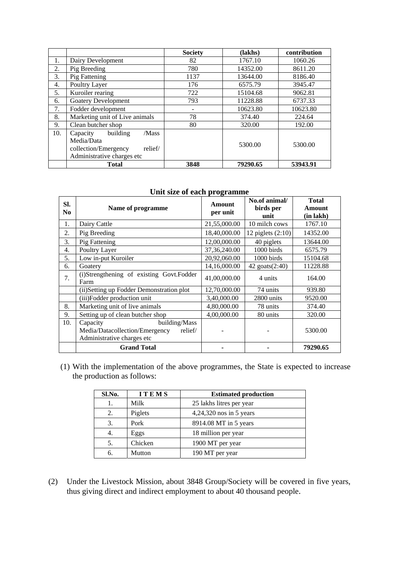|     |                                                                                                              | <b>Society</b> | (lakhs)  | contribution |
|-----|--------------------------------------------------------------------------------------------------------------|----------------|----------|--------------|
| 1.  | Dairy Development                                                                                            | 82             | 1767.10  | 1060.26      |
| 2.  | Pig Breeding                                                                                                 | 780            | 14352.00 | 8611.20      |
| 3.  | Pig Fattening                                                                                                | 1137           | 13644.00 | 8186.40      |
| 4.  | Poultry Layer                                                                                                | 176            | 6575.79  | 3945.47      |
| 5.  | Kuroiler rearing                                                                                             | 722            | 15104.68 | 9062.81      |
| 6.  | <b>Goatery Development</b>                                                                                   | 793            | 11228.88 | 6737.33      |
| 7.  | Fodder development                                                                                           |                | 10623.80 | 10623.80     |
| 8.  | Marketing unit of Live animals                                                                               | 78             | 374.40   | 224.64       |
| 9.  | Clean butcher shop                                                                                           | 80             | 320.00   | 192.00       |
| 10. | building<br>/Mass<br>Capacity<br>Media/Data<br>relief/<br>collection/Emergency<br>Administrative charges etc |                | 5300.00  | 5300.00      |
|     | <b>Total</b>                                                                                                 | 3848           | 79290.65 | 53943.91     |

| Unit size of each programme |  |  |  |  |  |
|-----------------------------|--|--|--|--|--|
|-----------------------------|--|--|--|--|--|

| SI.<br>N <sub>0</sub> | Name of programme                                | Amount<br>per unit | No.of animal/<br>birds per<br>unit | <b>Total</b><br>Amount<br>(in lakh) |
|-----------------------|--------------------------------------------------|--------------------|------------------------------------|-------------------------------------|
| 1.                    | Dairy Cattle                                     | 21,55,000.00       | 10 milch cows                      | 1767.10                             |
| 2.                    | Pig Breeding                                     | 18,40,000.00       | 12 piglets $(2:10)$                | 14352.00                            |
| 3.                    | Pig Fattening                                    | 12,00,000.00       | 40 piglets                         | 13644.00                            |
| 4.                    | Poultry Layer                                    | 37, 36, 240.00     | 1000 birds                         | 6575.79                             |
| 5.                    | Low in-put Kuroiler                              | 20,92,060.00       | 1000 birds                         | 15104.68                            |
| 6.                    | Goatery                                          | 14,16,000.00       | 42 goats(2:40)                     | 11228.88                            |
| 7.                    | (i)Strengthening of existing Govt.Fodder<br>Farm | 41,00,000.00       | 4 units                            | 164.00                              |
|                       | (ii) Setting up Fodder Demonstration plot        | 12,70,000.00       | 74 units                           | 939.80                              |
|                       | (iii)Fodder production unit                      | 3,40,000.00        | 2800 units                         | 9520.00                             |
| 8.                    | Marketing unit of live animals                   | 4,80,000.00        | 78 units                           | 374.40                              |
| 9.                    | Setting up of clean butcher shop                 | 4,00,000.00        | 80 units                           | 320.00                              |
| 10.                   | building/Mass<br>Capacity                        |                    |                                    |                                     |
|                       | relief/<br>Media/Datacollection/Emergency        |                    |                                    | 5300.00                             |
|                       | Administrative charges etc                       |                    |                                    |                                     |
|                       | <b>Grand Total</b>                               |                    |                                    | 79290.65                            |

(1) With the implementation of the above programmes, the State is expected to increase the production as follows:

| Sl.No. | <b>ITEMS</b> | <b>Estimated production</b> |
|--------|--------------|-----------------------------|
|        | Milk         | 25 lakhs litres per year    |
| 2.     | Piglets      | 4,24,320 nos in 5 years     |
| 3.     | Pork         | 8914.08 MT in 5 years       |
| 4.     | Eggs         | 18 million per year         |
| 5.     | Chicken      | 1900 MT per year            |
| 6.     | Mutton       | 190 MT per year             |

(2) Under the Livestock Mission, about 3848 Group/Society will be covered in five years, thus giving direct and indirect employment to about 40 thousand people.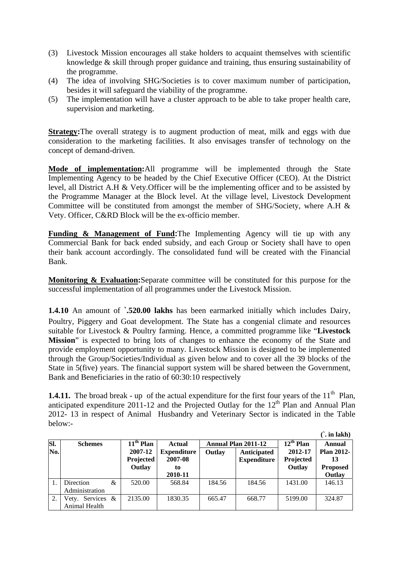- (3) Livestock Mission encourages all stake holders to acquaint themselves with scientific knowledge & skill through proper guidance and training, thus ensuring sustainability of the programme.
- (4) The idea of involving SHG/Societies is to cover maximum number of participation, besides it will safeguard the viability of the programme.
- (5) The implementation will have a cluster approach to be able to take proper health care, supervision and marketing.

**Strategy:**The overall strategy is to augment production of meat, milk and eggs with due consideration to the marketing facilities. It also envisages transfer of technology on the concept of demand-driven.

**Mode of implementation:**All programme will be implemented through the State Implementing Agency to be headed by the Chief Executive Officer (CEO). At the District level, all District A.H & Vety.Officer will be the implementing officer and to be assisted by the Programme Manager at the Block level. At the village level, Livestock Development Committee will be constituted from amongst the member of SHG/Society, where A.H & Vety. Officer, C&RD Block will be the ex-officio member.

**Funding & Management of Fund: The Implementing Agency will tie up with any** Commercial Bank for back ended subsidy, and each Group or Society shall have to open their bank account accordingly. The consolidated fund will be created with the Financial Bank.

**Monitoring & Evaluation:**Separate committee will be constituted for this purpose for the successful implementation of all programmes under the Livestock Mission.

**1.4.10** An amount of **`.520.00 lakhs** has been earmarked initially which includes Dairy, Poultry, Piggery and Goat development. The State has a congenial climate and resources suitable for Livestock & Poultry farming. Hence, a committed programme like "**Livestock Mission**" is expected to bring lots of changes to enhance the economy of the State and provide employment opportunity to many. Livestock Mission is designed to be implemented through the Group/Societies/Individual as given below and to cover all the 39 blocks of the State in 5(five) years. The financial support system will be shared between the Government, Bank and Beneficiaries in the ratio of 60:30:10 respectively

**1.4.11.** The broad break - up of the actual expenditure for the first four years of the  $11<sup>th</sup>$  Plan, anticipated expenditure  $2011-12$  and the Projected Outlay for the  $12<sup>th</sup>$  Plan and Annual Plan 2012- 13 in respect of Animal Husbandry and Veterinary Sector is indicated in the Table below:-

**(`. in lakh) Sl. No. Schemes 11th Plan 2007-12 Projected Outlay Actual Expenditure 2007-08 to 2010-11 Annual Plan 2011-12 12th Plan 2012-17 Projected Outlay Annual Plan 2012- 13 Proposed Outlay Outlay Anticipated Expenditure** 1. Direction & Administration 520.00 568.84 184.56 184.56 1431.00 146.13 2. Vety. Services & Animal Health 2135.00 | 1830.35 | 665.47 | 668.77 | 5199.00 | 324.87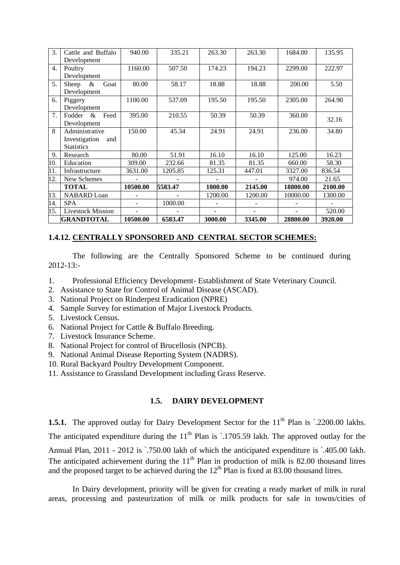| 3.               | Cattle and Buffalo       | 940.00   | 335.21  | 263.30  | 263.30  | 1684.00  | 135.95  |
|------------------|--------------------------|----------|---------|---------|---------|----------|---------|
|                  | Development              |          |         |         |         |          |         |
| $\overline{4}$ . | Poultry                  | 1160.00  | 507.50  | 174.23  | 194.23  | 2299.00  | 222.97  |
|                  | Development              |          |         |         |         |          |         |
| 5.               | Sheep<br>Goat<br>&       | 80.00    | 58.17   | 18.88   | 18.88   | 200.00   | 5.50    |
|                  | Development              |          |         |         |         |          |         |
| 6.               | Piggery                  | 1100.00  | 537.09  | 195.50  | 195.50  | 2305.00  | 264.90  |
|                  | Development              |          |         |         |         |          |         |
| 7.               | Fodder<br>$\&$<br>Feed   | 395.00   | 210.55  | 50.39   | 50.39   | 360.00   | 32.16   |
|                  | Development              |          |         |         |         |          |         |
| 8                | Administrative           | 150.00   | 45.34   | 24.91   | 24.91   | 236.00   | 34.80   |
|                  | Investigation<br>and     |          |         |         |         |          |         |
|                  | <b>Statistics</b>        |          |         |         |         |          |         |
| 9.               | Research                 | 80.00    | 51.91   | 16.10   | 16.10   | 125.00   | 16.23   |
| 10.              | Education                | 309.00   | 232.66  | 81.35   | 81.35   | 660.00   | 58.30   |
| 11.              | Infrastructure           | 3631.00  | 1205.85 | 125.31  | 447.01  | 3327.00  | 836.54  |
| 12.              | New Schemes              |          |         |         |         | 974.00   | 21.65   |
|                  | <b>TOTAL</b>             | 10500.00 | 5583.47 | 1800.00 | 2145.00 | 18800.00 | 2100.00 |
| 13.              | <b>NABARD</b> Loan       |          |         | 1200.00 | 1200.00 | 10000.00 | 1300.00 |
| 14.              | <b>SPA</b>               |          | 1000.00 |         |         |          |         |
| 15.              | <b>Livestock Mission</b> |          |         |         |         |          | 520.00  |
|                  | <b>GRANDTOTAL</b>        | 10500.00 | 6583.47 | 3000.00 | 3345.00 | 28800.00 | 3920.00 |

## **1.4.12. CENTRALLY SPONSORED AND CENTRAL SECTOR SCHEMES:**

 The following are the Centrally Sponsored Scheme to be continued during 2012-13:-

- 1. Professional Efficiency Development- Establishment of State Veterinary Council.
- 2. Assistance to State for Control of Animal Disease (ASCAD).
- 3. National Project on Rinderpest Eradication (NPRE)
- 4. Sample Survey for estimation of Major Livestock Products.
- 5. Livestock Census.
- 6. National Project for Cattle & Buffalo Breeding.
- 7. Livestock Insurance Scheme.
- 8. National Project for control of Brucellosis (NPCB).
- 9. National Animal Disease Reporting System (NADRS).
- 10. Rural Backyard Poultry Development Component.
- 11. Assistance to Grassland Development including Grass Reserve.

## **1.5. DAIRY DEVELOPMENT**

**1.5.1.** The approved outlay for Dairy Development Sector for the 11<sup>th</sup> Plan is `.2200.00 lakhs. The anticipated expenditure during the  $11<sup>th</sup>$  Plan is  $\cdot$  1705.59 lakh. The approved outlay for the Annual Plan, 2011 - 2012 is `.750.00 lakh of which the anticipated expenditure is `.405.00 lakh. The anticipated achievement during the  $11<sup>th</sup>$  Plan in production of milk is 82.00 thousand litres and the proposed target to be achieved during the  $12<sup>th</sup>$  Plan is fixed at 83.00 thousand litres.

 In Dairy development, priority will be given for creating a ready market of milk in rural areas, processing and pasteurization of milk or milk products for sale in towns/cities of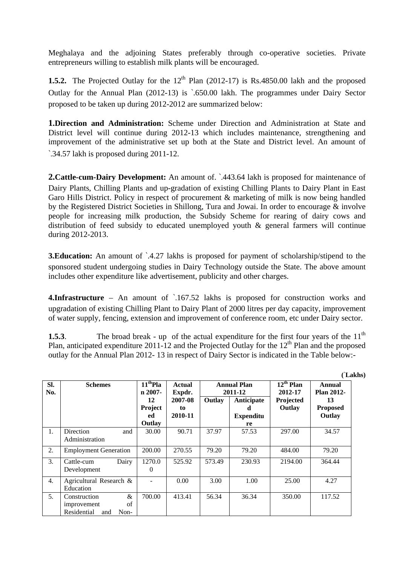Meghalaya and the adjoining States preferably through co-operative societies. Private entrepreneurs willing to establish milk plants will be encouraged.

**1.5.2.** The Projected Outlay for the  $12<sup>th</sup>$  Plan (2012-17) is Rs.4850.00 lakh and the proposed Outlay for the Annual Plan (2012-13) is `.650.00 lakh. The programmes under Dairy Sector proposed to be taken up during 2012-2012 are summarized below:

**1.Direction and Administration:** Scheme under Direction and Administration at State and District level will continue during 2012-13 which includes maintenance, strengthening and improvement of the administrative set up both at the State and District level. An amount of `.34.57 lakh is proposed during 2011-12.

**2.Cattle-cum-Dairy Development:** An amount of. `.443.64 lakh is proposed for maintenance of Dairy Plants, Chilling Plants and up-gradation of existing Chilling Plants to Dairy Plant in East Garo Hills District. Policy in respect of procurement & marketing of milk is now being handled by the Registered District Societies in Shillong, Tura and Jowai. In order to encourage & involve people for increasing milk production, the Subsidy Scheme for rearing of dairy cows and distribution of feed subsidy to educated unemployed youth & general farmers will continue during 2012-2013.

**3. Education:** An amount of  $\lambda$ -4.27 lakhs is proposed for payment of scholarship/stipend to the sponsored student undergoing studies in Dairy Technology outside the State. The above amount includes other expenditure like advertisement, publicity and other charges.

**4.Infrastructure** – An amount of `.167.52 lakhs is proposed for construction works and upgradation of existing Chilling Plant to Dairy Plant of 2000 litres per day capacity, improvement of water supply, fencing, extension and improvement of conference room, etc under Dairy sector.

**1.5.3**. The broad break - up of the actual expenditure for the first four years of the 11<sup>th</sup> Plan, anticipated expenditure 2011-12 and the Projected Outlay for the  $12<sup>th</sup>$  Plan and the proposed outlay for the Annual Plan 2012- 13 in respect of Dairy Sector is indicated in the Table below:-

|                  |                              |                                              |                         |        |                               |                           | (Lakhs)                     |  |
|------------------|------------------------------|----------------------------------------------|-------------------------|--------|-------------------------------|---------------------------|-----------------------------|--|
| SI.<br>No.       | <b>Schemes</b>               | $\overline{11}$ <sup>th</sup> Pla<br>n 2007- | <b>Actual</b><br>Expdr. |        | <b>Annual Plan</b><br>2011-12 | $12^{th}$ Plan<br>2012-17 | Annual<br><b>Plan 2012-</b> |  |
|                  |                              | 2007-08<br>12<br>Project<br>to               |                         | Outlay | Anticipate                    | Projected<br>Outlay       | 13<br><b>Proposed</b>       |  |
|                  |                              | ed                                           | 2010-11                 |        | <b>Expenditu</b>              |                           | Outlay                      |  |
|                  |                              | Outlay                                       |                         |        | re                            |                           |                             |  |
| 1.               | Direction<br>and             | 30.00                                        | 90.71                   | 37.97  | 57.53                         | 297.00                    | 34.57                       |  |
|                  | Administration               |                                              |                         |        |                               |                           |                             |  |
| 2.               | <b>Employment Generation</b> | 200.00                                       | 270.55                  | 79.20  | 79.20                         | 484.00                    | 79.20                       |  |
| 3.               | Dairy<br>Cattle-cum          | 1270.0                                       | 525.92                  | 573.49 | 230.93                        | 2194.00                   | 364.44                      |  |
|                  | Development                  | 0                                            |                         |        |                               |                           |                             |  |
| $\overline{4}$ . | Agricultural Research &      |                                              | 0.00                    | 3.00   | 1.00                          | 25.00                     | 4.27                        |  |
|                  | Education                    |                                              |                         |        |                               |                           |                             |  |
| .5.              | Construction                 | &<br>700.00                                  | 413.41                  | 56.34  | 36.34                         | 350.00                    | 117.52                      |  |
|                  | improvement                  | of                                           |                         |        |                               |                           |                             |  |
|                  | Residential<br>Non-<br>and   |                                              |                         |        |                               |                           |                             |  |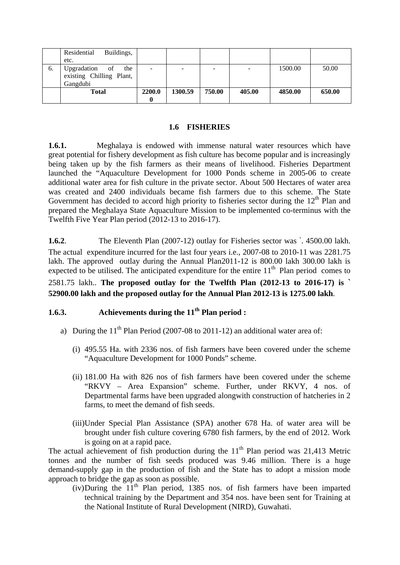|    | Residential<br>Buildings, |        |         |        |        |         |        |
|----|---------------------------|--------|---------|--------|--------|---------|--------|
|    | etc.                      |        |         |        |        |         |        |
| 6. | Upgradation<br>the<br>of  | ۰      |         | -      |        | 1500.00 | 50.00  |
|    | existing Chilling Plant,  |        |         |        |        |         |        |
|    | Gangdubi                  |        |         |        |        |         |        |
|    | <b>Total</b>              | 2200.0 | 1300.59 | 750.00 | 405.00 | 4850.00 | 650.00 |
|    |                           |        |         |        |        |         |        |

#### **1.6 FISHERIES**

**1.6.1.** Meghalaya is endowed with immense natural water resources which have great potential for fishery development as fish culture has become popular and is increasingly being taken up by the fish farmers as their means of livelihood. Fisheries Department launched the "Aquaculture Development for 1000 Ponds scheme in 2005-06 to create additional water area for fish culture in the private sector. About 500 Hectares of water area was created and 2400 individuals became fish farmers due to this scheme. The State Government has decided to accord high priority to fisheries sector during the  $12<sup>th</sup>$  Plan and prepared the Meghalaya State Aquaculture Mission to be implemented co-terminus with the Twelfth Five Year Plan period (2012-13 to 2016-17).

**1.6.2**. The Eleventh Plan (2007-12) outlay for Fisheries sector was `. 4500.00 lakh. The actual expenditure incurred for the last four years i.e., 2007-08 to 2010-11 was 2281.75 lakh. The approved outlay during the Annual Plan2011-12 is 800.00 lakh 300.00 lakh is expected to be utilised. The anticipated expenditure for the entire  $11<sup>th</sup>$  Plan period comes to

## 2581.75 lakh.. **The proposed outlay for the Twelfth Plan (2012-13 to 2016-17) is ` 52900.00 lakh and the proposed outlay for the Annual Plan 2012-13 is 1275.00 lakh**.

## **1.6.3. Achievements during the 11<sup>th</sup> Plan period :**

- a) During the  $11<sup>th</sup>$  Plan Period (2007-08 to 2011-12) an additional water area of:
	- (i) 495.55 Ha. with 2336 nos. of fish farmers have been covered under the scheme "Aquaculture Development for 1000 Ponds" scheme.
	- (ii) 181.00 Ha with 826 nos of fish farmers have been covered under the scheme "RKVY – Area Expansion" scheme. Further, under RKVY, 4 nos. of Departmental farms have been upgraded alongwith construction of hatcheries in 2 farms, to meet the demand of fish seeds.
	- (iii)Under Special Plan Assistance (SPA) another 678 Ha. of water area will be brought under fish culture covering 6780 fish farmers, by the end of 2012. Work is going on at a rapid pace.

The actual achievement of fish production during the  $11<sup>th</sup>$  Plan period was 21,413 Metric tonnes and the number of fish seeds produced was 9.46 million. There is a huge demand-supply gap in the production of fish and the State has to adopt a mission mode approach to bridge the gap as soon as possible.

 $(iv)$ During the  $11<sup>th</sup>$  Plan period, 1385 nos. of fish farmers have been imparted technical training by the Department and 354 nos. have been sent for Training at the National Institute of Rural Development (NIRD), Guwahati.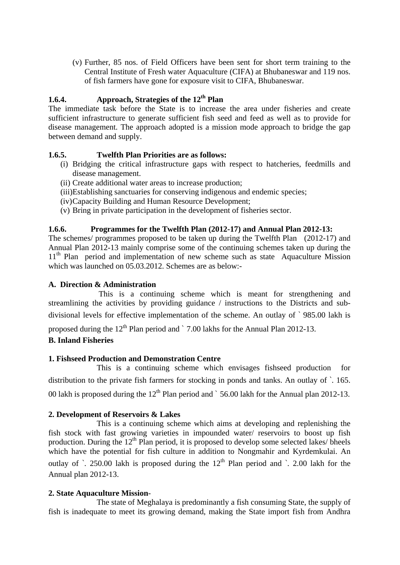(v) Further, 85 nos. of Field Officers have been sent for short term training to the Central Institute of Fresh water Aquaculture (CIFA) at Bhubaneswar and 119 nos. of fish farmers have gone for exposure visit to CIFA, Bhubaneswar.

## **1.6.4. Approach, Strategies of the 12<sup>th</sup> Plan**

The immediate task before the State is to increase the area under fisheries and create sufficient infrastructure to generate sufficient fish seed and feed as well as to provide for disease management. The approach adopted is a mission mode approach to bridge the gap between demand and supply.

## **1.6.5. Twelfth Plan Priorities are as follows:**

- (i) Bridging the critical infrastructure gaps with respect to hatcheries, feedmills and disease management.
- (ii) Create additional water areas to increase production;
- (iii)Establishing sanctuaries for conserving indigenous and endemic species;
- (iv)Capacity Building and Human Resource Development;
- (v) Bring in private participation in the development of fisheries sector.

## **1.6.6. Programmes for the Twelfth Plan (2012-17) and Annual Plan 2012-13:**

The schemes/ programmes proposed to be taken up during the Twelfth Plan (2012-17) and Annual Plan 2012-13 mainly comprise some of the continuing schemes taken up during the 11<sup>th</sup> Plan period and implementation of new scheme such as state Aquaculture Mission which was launched on 05.03.2012. Schemes are as below:-

## **A. Direction & Administration**

This is a continuing scheme which is meant for strengthening and streamlining the activities by providing guidance / instructions to the Districts and subdivisional levels for effective implementation of the scheme. An outlay of ` 985.00 lakh is

proposed during the  $12<sup>th</sup>$  Plan period and  $\degree$  7.00 lakhs for the Annual Plan 2012-13.

## **B. Inland Fisheries**

## **1. Fishseed Production and Demonstration Centre**

 This is a continuing scheme which envisages fishseed production for distribution to the private fish farmers for stocking in ponds and tanks. An outlay of `. 165. 00 lakh is proposed during the  $12<sup>th</sup>$  Plan period and  $\degree$  56.00 lakh for the Annual plan 2012-13.

## **2. Development of Reservoirs & Lakes**

This is a continuing scheme which aims at developing and replenishing the fish stock with fast growing varieties in impounded water/ reservoirs to boost up fish production. During the  $12<sup>th</sup>$  Plan period, it is proposed to develop some selected lakes/ bheels which have the potential for fish culture in addition to Nongmahir and Kyrdemkulai. An outlay of  $\cdot$  250.00 lakh is proposed during the 12<sup>th</sup> Plan period and  $\cdot$  2.00 lakh for the Annual plan 2012-13.

## **2. State Aquaculture Mission**-

 The state of Meghalaya is predominantly a fish consuming State, the supply of fish is inadequate to meet its growing demand, making the State import fish from Andhra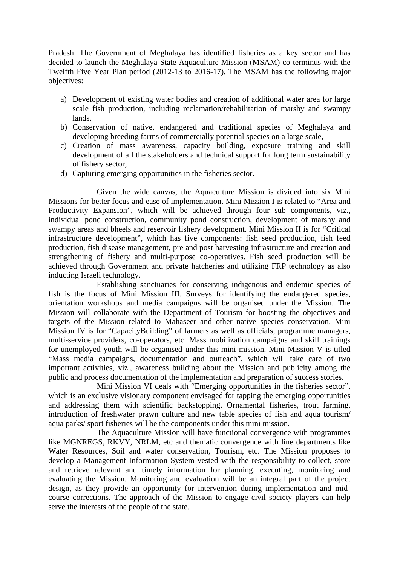Pradesh. The Government of Meghalaya has identified fisheries as a key sector and has decided to launch the Meghalaya State Aquaculture Mission (MSAM) co-terminus with the Twelfth Five Year Plan period (2012-13 to 2016-17). The MSAM has the following major objectives:

- a) Development of existing water bodies and creation of additional water area for large scale fish production, including reclamation/rehabilitation of marshy and swampy lands,
- b) Conservation of native, endangered and traditional species of Meghalaya and developing breeding farms of commercially potential species on a large scale,
- c) Creation of mass awareness, capacity building, exposure training and skill development of all the stakeholders and technical support for long term sustainability of fishery sector,
- d) Capturing emerging opportunities in the fisheries sector.

 Given the wide canvas, the Aquaculture Mission is divided into six Mini Missions for better focus and ease of implementation. Mini Mission I is related to "Area and Productivity Expansion", which will be achieved through four sub components, viz., individual pond construction, community pond construction, development of marshy and swampy areas and bheels and reservoir fishery development. Mini Mission II is for "Critical infrastructure development", which has five components: fish seed production, fish feed production, fish disease management, pre and post harvesting infrastructure and creation and strengthening of fishery and multi-purpose co-operatives. Fish seed production will be achieved through Government and private hatcheries and utilizing FRP technology as also inducting Israeli technology.

 Establishing sanctuaries for conserving indigenous and endemic species of fish is the focus of Mini Mission III. Surveys for identifying the endangered species, orientation workshops and media campaigns will be organised under the Mission. The Mission will collaborate with the Department of Tourism for boosting the objectives and targets of the Mission related to Mahaseer and other native species conservation. Mini Mission IV is for "CapacityBuilding" of farmers as well as officials, programme managers, multi-service providers, co-operators, etc. Mass mobilization campaigns and skill trainings for unemployed youth will be organised under this mini mission. Mini Mission V is titled "Mass media campaigns, documentation and outreach", which will take care of two important activities, viz., awareness building about the Mission and publicity among the public and process documentation of the implementation and preparation of success stories.

 Mini Mission VI deals with "Emerging opportunities in the fisheries sector", which is an exclusive visionary component envisaged for tapping the emerging opportunities and addressing them with scientific backstopping. Ornamental fisheries, trout farming, introduction of freshwater prawn culture and new table species of fish and aqua tourism/ aqua parks/ sport fisheries will be the components under this mini mission.

 The Aquaculture Mission will have functional convergence with programmes like MGNREGS, RKVY, NRLM, etc and thematic convergence with line departments like Water Resources, Soil and water conservation, Tourism, etc. The Mission proposes to develop a Management Information System vested with the responsibility to collect, store and retrieve relevant and timely information for planning, executing, monitoring and evaluating the Mission. Monitoring and evaluation will be an integral part of the project design, as they provide an opportunity for intervention during implementation and midcourse corrections. The approach of the Mission to engage civil society players can help serve the interests of the people of the state.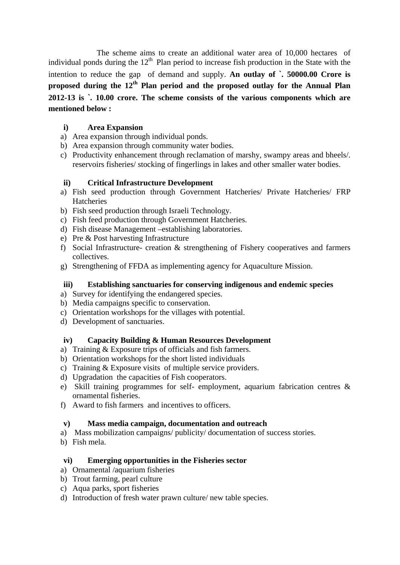The scheme aims to create an additional water area of 10,000 hectares of individual ponds during the  $12<sup>th</sup>$  Plan period to increase fish production in the State with the intention to reduce the gap of demand and supply. **An outlay of `. 50000.00 Crore is proposed during the 12th Plan period and the proposed outlay for the Annual Plan 2012-13 is `. 10.00 crore. The scheme consists of the various components which are mentioned below :**

## **i) Area Expansion**

- a) Area expansion through individual ponds.
- b) Area expansion through community water bodies.
- c) Productivity enhancement through reclamation of marshy, swampy areas and bheels/. reservoirs fisheries/ stocking of fingerlings in lakes and other smaller water bodies.

## **ii) Critical Infrastructure Development**

- a) Fish seed production through Government Hatcheries/ Private Hatcheries/ FRP Hatcheries
- b) Fish seed production through Israeli Technology.
- c) Fish feed production through Government Hatcheries.
- d) Fish disease Management –establishing laboratories.
- e) Pre & Post harvesting Infrastructure
- f) Social Infrastructure- creation & strengthening of Fishery cooperatives and farmers collectives.
- g) Strengthening of FFDA as implementing agency for Aquaculture Mission.

## **iii) Establishing sanctuaries for conserving indigenous and endemic species**

- a) Survey for identifying the endangered species.
- b) Media campaigns specific to conservation.
- c) Orientation workshops for the villages with potential.
- d) Development of sanctuaries.

## **iv) Capacity Building & Human Resources Development**

- a) Training & Exposure trips of officials and fish farmers.
- b) Orientation workshops for the short listed individuals
- c) Training & Exposure visits of multiple service providers.
- d) Upgradation the capacities of Fish cooperators.
- e) Skill training programmes for self- employment, aquarium fabrication centres & ornamental fisheries.
- f) Award to fish farmers and incentives to officers.

## **v) Mass media campaign, documentation and outreach**

- a) Mass mobilization campaigns/ publicity/ documentation of success stories.
- b) Fish mela.

## **vi) Emerging opportunities in the Fisheries sector**

- a) Ornamental /aquarium fisheries
- b) Trout farming, pearl culture
- c) Aqua parks, sport fisheries
- d) Introduction of fresh water prawn culture/ new table species.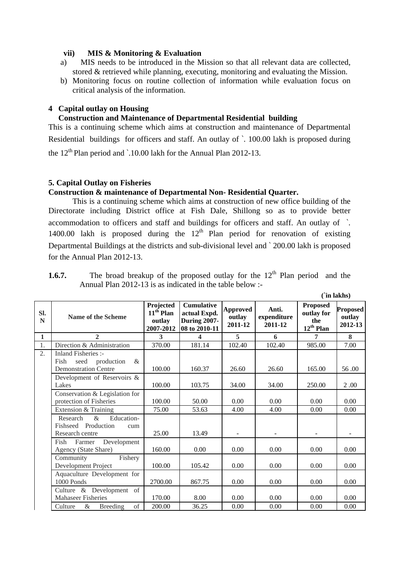#### **vii) MIS & Monitoring & Evaluation**

- a) MIS needs to be introduced in the Mission so that all relevant data are collected, stored & retrieved while planning, executing, monitoring and evaluating the Mission.
- b) Monitoring focus on routine collection of information while evaluation focus on critical analysis of the information.

## **4 Capital outlay on Housing**

## **Construction and Maintenance of Departmental Residential building**

This is a continuing scheme which aims at construction and maintenance of Departmental Residential buildings for officers and staff. An outlay of `. 100.00 lakh is proposed during the  $12<sup>th</sup>$  Plan period and  $\cdot$  10.00 lakh for the Annual Plan 2012-13.

#### **5. Capital Outlay on Fisheries**

## **Construction & maintenance of Departmental Non- Residential Quarter.**

This is a continuing scheme which aims at construction of new office building of the Directorate including District office at Fish Dale, Shillong so as to provide better accommodation to officers and staff and buildings for officers and staff. An outlay of `. 1400.00 lakh is proposed during the  $12<sup>th</sup>$  Plan period for renovation of existing Departmental Buildings at the districts and sub-divisional level and ` 200.00 lakh is proposed for the Annual Plan 2012-13.

| 1.6.7. | The broad breakup of the proposed outlay for the $12th$ Plan period and the |  |
|--------|-----------------------------------------------------------------------------|--|
|        | Annual Plan $2012-13$ is as indicated in the table below :-                 |  |

**(`in lakhs)** 

|              |                                                                                       |                                                 |                                                                           |                                      |                                 |                                                        | UIII Iäkiis <i>i</i>                 |
|--------------|---------------------------------------------------------------------------------------|-------------------------------------------------|---------------------------------------------------------------------------|--------------------------------------|---------------------------------|--------------------------------------------------------|--------------------------------------|
| SI.<br>N     | <b>Name of the Scheme</b>                                                             | Projected<br>$11th$ Plan<br>outlay<br>2007-2012 | <b>Cumulative</b><br>actual Expd.<br><b>During 2007-</b><br>08 to 2010-11 | <b>Approved</b><br>outlay<br>2011-12 | Anti.<br>expenditure<br>2011-12 | <b>Proposed</b><br>outlay for<br>the<br>$12^{th}$ Plan | <b>Proposed</b><br>outlay<br>2012-13 |
| $\mathbf{1}$ | $\overline{2}$                                                                        | $\overline{\mathbf{3}}$                         | 4                                                                         | 5                                    | 6                               | 7                                                      | 8                                    |
| 1.           | Direction & Administration                                                            | 370.00                                          | 181.14                                                                    | 102.40                               | 102.40                          | 985.00                                                 | 7.00                                 |
| 2.           | Inland Fisheries :-<br>$\&$<br>Fish<br>seed production<br><b>Demonstration Centre</b> | 100.00                                          | 160.37                                                                    | 26.60                                | 26.60                           | 165.00                                                 | 56.00                                |
|              | Development of Reservoirs &<br>Lakes                                                  | 100.00                                          | 103.75                                                                    | 34.00                                | 34.00                           | 250.00                                                 | 2.00                                 |
|              | Conservation & Legislation for<br>protection of Fisheries                             | 100.00                                          | 50.00                                                                     | 0.00                                 | 0.00                            | 0.00                                                   | 0.00                                 |
|              | Extension & Training                                                                  | 75.00                                           | 53.63                                                                     | 4.00                                 | 4.00                            | 0.00                                                   | 0.00                                 |
|              | $\&$<br>Research<br>Education-<br>Fishseed Production<br>cum<br>Research centre       | 25.00                                           | 13.49                                                                     |                                      |                                 |                                                        |                                      |
|              | Fish<br>Development<br>Farmer<br>Agency (State Share)                                 | 160.00                                          | 0.00                                                                      | 0.00                                 | 0.00                            | 0.00                                                   | 0.00                                 |
|              | Community<br>Fishery<br>Development Project                                           | 100.00                                          | 105.42                                                                    | 0.00                                 | 0.00                            | 0.00                                                   | 0.00                                 |
|              | Aquaculture Development for<br>1000 Ponds                                             | 2700.00                                         | 867.75                                                                    | 0.00                                 | 0.00                            | 0.00                                                   | 0.00                                 |
|              | Culture & Development of<br><b>Mahaseer Fisheries</b>                                 | 170.00                                          | 8.00                                                                      | 0.00                                 | 0.00                            | 0.00                                                   | 0.00                                 |
|              | of<br>Culture<br>$\&$<br><b>Breeding</b>                                              | 200.00                                          | 36.25                                                                     | 0.00                                 | 0.00                            | 0.00                                                   | 0.00                                 |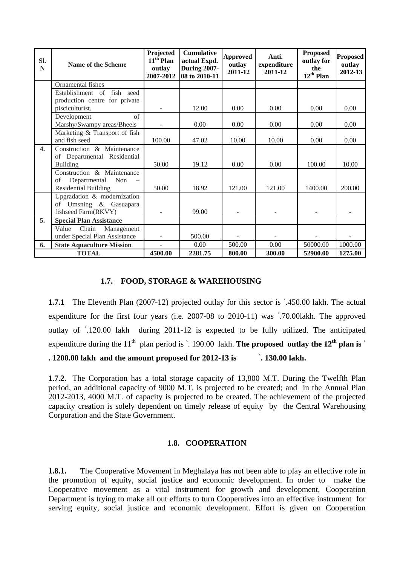| SI.<br>N         | Name of the Scheme                                                    | Projected<br>$11th$ Plan<br>outlay<br>2007-2012 | <b>Cumulative</b><br>actual Expd.<br><b>During 2007-</b><br>08 to 2010-11 | <b>Approved</b><br>outlay<br>2011-12 | Anti.<br>expenditure<br>2011-12 | <b>Proposed</b><br>outlay for<br>the<br>$12^{th}$ Plan | <b>Proposed</b><br>outlay<br>2012-13 |
|------------------|-----------------------------------------------------------------------|-------------------------------------------------|---------------------------------------------------------------------------|--------------------------------------|---------------------------------|--------------------------------------------------------|--------------------------------------|
|                  | Ornamental fishes                                                     |                                                 |                                                                           |                                      |                                 |                                                        |                                      |
|                  | Establishment of fish seed                                            |                                                 |                                                                           |                                      |                                 |                                                        |                                      |
|                  | production centre for private                                         |                                                 |                                                                           |                                      |                                 |                                                        |                                      |
|                  | pisciculturist.                                                       |                                                 | 12.00                                                                     | 0.00                                 | 0.00                            | 0.00                                                   | 0.00                                 |
|                  | of<br>Development<br>Marshy/Swampy areas/Bheels                       |                                                 | 0.00                                                                      | 0.00                                 | 0.00                            | 0.00                                                   | 0.00                                 |
|                  | Marketing & Transport of fish                                         |                                                 |                                                                           |                                      |                                 |                                                        |                                      |
|                  | and fish seed                                                         | 100.00                                          | 47.02                                                                     | 10.00                                | 10.00                           | 0.00                                                   | 0.00                                 |
| $\overline{4}$ . | Construction & Maintenance<br>of Departmental Residential<br>Building | 50.00                                           | 19.12                                                                     | 0.00                                 | 0.00                            | 100.00                                                 | 10.00                                |
|                  | Construction & Maintenance                                            |                                                 |                                                                           |                                      |                                 |                                                        |                                      |
|                  | Departmental Non –<br>οf                                              |                                                 |                                                                           |                                      |                                 |                                                        |                                      |
|                  | <b>Residential Building</b>                                           | 50.00                                           | 18.92                                                                     | 121.00                               | 121.00                          | 1400.00                                                | 200.00                               |
|                  | Upgradation & modernization                                           |                                                 |                                                                           |                                      |                                 |                                                        |                                      |
|                  | of Umsning & Gasuapara                                                |                                                 |                                                                           |                                      |                                 |                                                        |                                      |
|                  | fishseed Farm(RKVY)                                                   | $\overline{\phantom{a}}$                        | 99.00                                                                     |                                      |                                 |                                                        |                                      |
| 5.               | <b>Special Plan Assistance</b>                                        |                                                 |                                                                           |                                      |                                 |                                                        |                                      |
|                  | Chain<br>Value<br>Management                                          |                                                 |                                                                           |                                      |                                 |                                                        |                                      |
|                  | under Special Plan Assistance                                         |                                                 | 500.00                                                                    |                                      |                                 |                                                        |                                      |
| 6.               | <b>State Aquaculture Mission</b>                                      |                                                 | 0.00                                                                      | 500.00                               | 0.00                            | 50000.00                                               | 1000.00                              |
|                  | <b>TOTAL</b>                                                          | 4500.00                                         | 2281.75                                                                   | 800.00                               | 300.00                          | 52900.00                                               | 1275.00                              |

## **1.7. FOOD, STORAGE & WAREHOUSING**

**1.7.1** The Eleventh Plan (2007-12) projected outlay for this sector is  $\cdot$  450.00 lakh. The actual expenditure for the first four years (i.e. 2007-08 to 2010-11) was `.70.00lakh. The approved outlay of `.120.00 lakh during 2011-12 is expected to be fully utilized. The anticipated expenditure during the  $11<sup>th</sup>$  plan period is  $\cdot$  190.00 lakh. **The proposed outlay the 12<sup>th</sup> plan is**  $\cdot$ 

**. 1200.00 lakh and the amount proposed for 2012-13 is** `**. 130.00 lakh.** 

**1.7.2.** The Corporation has a total storage capacity of 13,800 M.T. During the Twelfth Plan period, an additional capacity of 9000 M.T. is projected to be created; and in the Annual Plan 2012-2013, 4000 M.T. of capacity is projected to be created. The achievement of the projected capacity creation is solely dependent on timely release of equity by the Central Warehousing Corporation and the State Government.

## **1.8. COOPERATION**

**1.8.1.** The Cooperative Movement in Meghalaya has not been able to play an effective role in the promotion of equity, social justice and economic development. In order to make the Cooperative movement as a vital instrument for growth and development, Cooperation Department is trying to make all out efforts to turn Cooperatives into an effective instrument for serving equity, social justice and economic development. Effort is given on Cooperation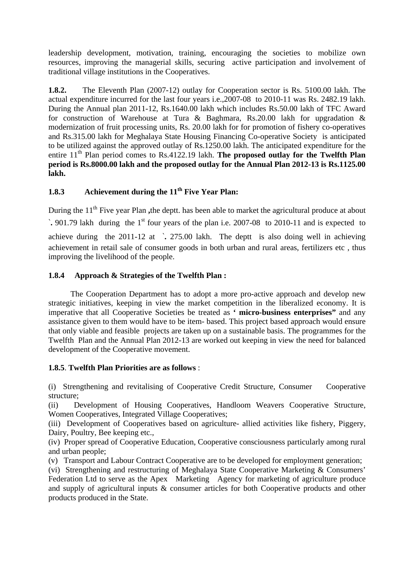leadership development, motivation, training, encouraging the societies to mobilize own resources, improving the managerial skills, securing active participation and involvement of traditional village institutions in the Cooperatives.

**1.8.2.** The Eleventh Plan (2007-12) outlay for Cooperation sector is Rs. 5100.00 lakh. The actual expenditure incurred for the last four years i.e.,2007-08 to 2010-11 was Rs. 2482.19 lakh. During the Annual plan 2011-12, Rs.1640.00 lakh which includes Rs.50.00 lakh of TFC Award for construction of Warehouse at Tura & Baghmara, Rs.20.00 lakh for upgradation & modernization of fruit processing units, Rs. 20.00 lakh for for promotion of fishery co-operatives and Rs.315.00 lakh for Meghalaya State Housing Financing Co-operative Society is anticipated to be utilized against the approved outlay of Rs.1250.00 lakh. The anticipated expenditure for the entire 11<sup>th</sup> Plan period comes to Rs.4122.19 lakh. **The proposed outlay for the Twelfth Plan period is Rs.8000.00 lakh and the proposed outlay for the Annual Plan 2012-13 is Rs.1125.00 lakh.** 

# **1.8.3** Achievement during the 11<sup>th</sup> Five Year Plan:

During the 11<sup>th</sup> Five year Plan , the deptt. has been able to market the agricultural produce at about  $\cdot$  901.79 lakh during the 1<sup>st</sup> four years of the plan i.e. 2007-08 to 2010-11 and is expected to achieve during the 2011-12 at `**.** 275.00 lakh. The deptt is also doing well in achieving achievement in retail sale of consumer goods in both urban and rural areas, fertilizers etc , thus improving the livelihood of the people.

## **1.8.4 Approach & Strategies of the Twelfth Plan :**

 The Cooperation Department has to adopt a more pro-active approach and develop new strategic initiatives, keeping in view the market competition in the liberalized economy. It is imperative that all Cooperative Societies be treated as **' micro-business enterprises"** and any assistance given to them would have to be item- based. This project based approach would ensure that only viable and feasible projects are taken up on a sustainable basis. The programmes for the Twelfth Plan and the Annual Plan 2012-13 are worked out keeping in view the need for balanced development of the Cooperative movement.

## **1.8.5**. **Twelfth Plan Priorities are as follows** :

(i) Strengthening and revitalising of Cooperative Credit Structure, Consumer Cooperative structure;

(ii) Development of Housing Cooperatives, Handloom Weavers Cooperative Structure, Women Cooperatives, Integrated Village Cooperatives;

(iii) Development of Cooperatives based on agriculture- allied activities like fishery, Piggery, Dairy, Poultry, Bee keeping etc.,

(iv) Proper spread of Cooperative Education, Cooperative consciousness particularly among rural and urban people;

(v) Transport and Labour Contract Cooperative are to be developed for employment generation;

(vi) Strengthening and restructuring of Meghalaya State Cooperative Marketing & Consumers' Federation Ltd to serve as the Apex Marketing Agency for marketing of agriculture produce and supply of agricultural inputs & consumer articles for both Cooperative products and other products produced in the State.